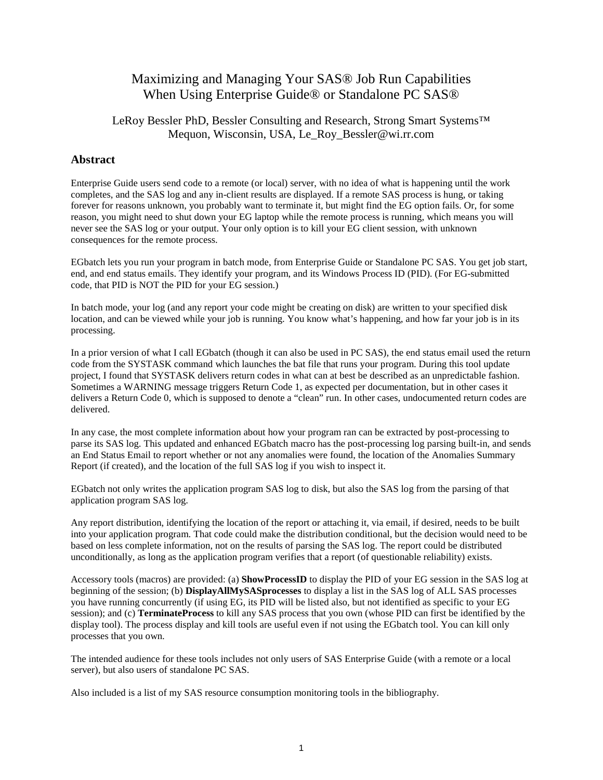# Maximizing and Managing Your SAS® Job Run Capabilities When Using Enterprise Guide® or Standalone PC SAS®

## LeRoy Bessler PhD, Bessler Consulting and Research, Strong Smart Systems™ Mequon, Wisconsin, USA, Le\_Roy\_Bessler@wi.rr.com

## **Abstract**

Enterprise Guide users send code to a remote (or local) server, with no idea of what is happening until the work completes, and the SAS log and any in-client results are displayed. If a remote SAS process is hung, or taking forever for reasons unknown, you probably want to terminate it, but might find the EG option fails. Or, for some reason, you might need to shut down your EG laptop while the remote process is running, which means you will never see the SAS log or your output. Your only option is to kill your EG client session, with unknown consequences for the remote process.

EGbatch lets you run your program in batch mode, from Enterprise Guide or Standalone PC SAS. You get job start, end, and end status emails. They identify your program, and its Windows Process ID (PID). (For EG-submitted code, that PID is NOT the PID for your EG session.)

In batch mode, your log (and any report your code might be creating on disk) are written to your specified disk location, and can be viewed while your job is running. You know what's happening, and how far your job is in its processing.

In a prior version of what I call EGbatch (though it can also be used in PC SAS), the end status email used the return code from the SYSTASK command which launches the bat file that runs your program. During this tool update project, I found that SYSTASK delivers return codes in what can at best be described as an unpredictable fashion. Sometimes a WARNING message triggers Return Code 1, as expected per documentation, but in other cases it delivers a Return Code 0, which is supposed to denote a "clean" run. In other cases, undocumented return codes are delivered.

In any case, the most complete information about how your program ran can be extracted by post-processing to parse its SAS log. This updated and enhanced EGbatch macro has the post-processing log parsing built-in, and sends an End Status Email to report whether or not any anomalies were found, the location of the Anomalies Summary Report (if created), and the location of the full SAS log if you wish to inspect it.

EGbatch not only writes the application program SAS log to disk, but also the SAS log from the parsing of that application program SAS log.

Any report distribution, identifying the location of the report or attaching it, via email, if desired, needs to be built into your application program. That code could make the distribution conditional, but the decision would need to be based on less complete information, not on the results of parsing the SAS log. The report could be distributed unconditionally, as long as the application program verifies that a report (of questionable reliability) exists.

Accessory tools (macros) are provided: (a) **ShowProcessID** to display the PID of your EG session in the SAS log at beginning of the session; (b) **DisplayAllMySASprocesses** to display a list in the SAS log of ALL SAS processes you have running concurrently (if using EG, its PID will be listed also, but not identified as specific to your EG session); and (c) **TerminateProcess** to kill any SAS process that you own (whose PID can first be identified by the display tool). The process display and kill tools are useful even if not using the EGbatch tool. You can kill only processes that you own.

The intended audience for these tools includes not only users of SAS Enterprise Guide (with a remote or a local server), but also users of standalone PC SAS.

Also included is a list of my SAS resource consumption monitoring tools in the bibliography.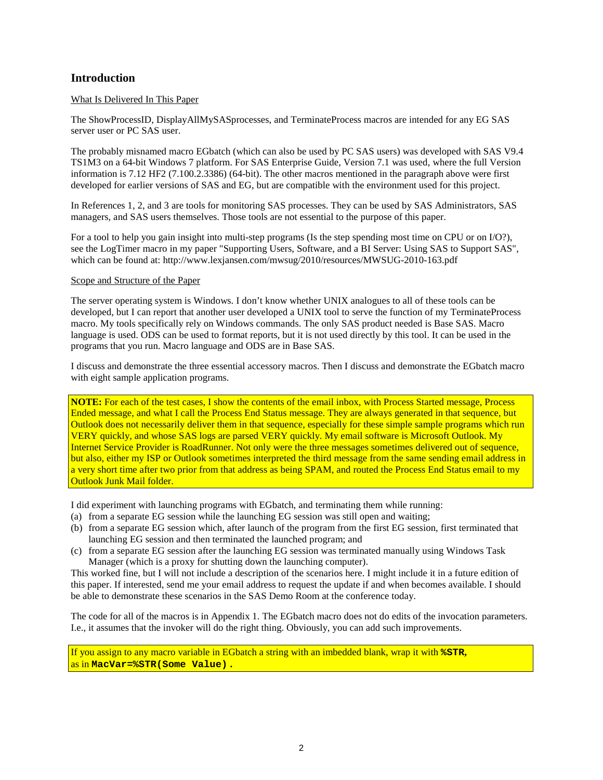## **Introduction**

### What Is Delivered In This Paper

The ShowProcessID, DisplayAllMySASprocesses, and TerminateProcess macros are intended for any EG SAS server user or PC SAS user.

The probably misnamed macro EGbatch (which can also be used by PC SAS users) was developed with SAS V9.4 TS1M3 on a 64-bit Windows 7 platform. For SAS Enterprise Guide, Version 7.1 was used, where the full Version information is 7.12 HF2 (7.100.2.3386) (64-bit). The other macros mentioned in the paragraph above were first developed for earlier versions of SAS and EG, but are compatible with the environment used for this project.

In References 1, 2, and 3 are tools for monitoring SAS processes. They can be used by SAS Administrators, SAS managers, and SAS users themselves. Those tools are not essential to the purpose of this paper.

For a tool to help you gain insight into multi-step programs (Is the step spending most time on CPU or on I/O?), see the LogTimer macro in my paper "Supporting Users, Software, and a BI Server: Using SAS to Support SAS", which can be found at: http://www.lexjansen.com/mwsug/2010/resources/MWSUG-2010-163.pdf

### Scope and Structure of the Paper

The server operating system is Windows. I don't know whether UNIX analogues to all of these tools can be developed, but I can report that another user developed a UNIX tool to serve the function of my TerminateProcess macro. My tools specifically rely on Windows commands. The only SAS product needed is Base SAS. Macro language is used. ODS can be used to format reports, but it is not used directly by this tool. It can be used in the programs that you run. Macro language and ODS are in Base SAS.

I discuss and demonstrate the three essential accessory macros. Then I discuss and demonstrate the EGbatch macro with eight sample application programs.

**NOTE:** For each of the test cases, I show the contents of the email inbox, with Process Started message, Process Ended message, and what I call the Process End Status message. They are always generated in that sequence, but Outlook does not necessarily deliver them in that sequence, especially for these simple sample programs which run VERY quickly, and whose SAS logs are parsed VERY quickly. My email software is Microsoft Outlook. My Internet Service Provider is RoadRunner. Not only were the three messages sometimes delivered out of sequence, but also, either my ISP or Outlook sometimes interpreted the third message from the same sending email address in a very short time after two prior from that address as being SPAM, and routed the Process End Status email to my Outlook Junk Mail folder.

I did experiment with launching programs with EGbatch, and terminating them while running:

- (a) from a separate EG session while the launching EG session was still open and waiting;
- (b) from a separate EG session which, after launch of the program from the first EG session, first terminated that launching EG session and then terminated the launched program; and
- (c) from a separate EG session after the launching EG session was terminated manually using Windows Task Manager (which is a proxy for shutting down the launching computer).

This worked fine, but I will not include a description of the scenarios here. I might include it in a future edition of this paper. If interested, send me your email address to request the update if and when becomes available. I should be able to demonstrate these scenarios in the SAS Demo Room at the conference today.

The code for all of the macros is in Appendix 1. The EGbatch macro does not do edits of the invocation parameters. I.e., it assumes that the invoker will do the right thing. Obviously, you can add such improvements.

If you assign to any macro variable in EGbatch a string with an imbedded blank, wrap it with **%STR,**  as in **MacVar=%STR(Some Value) .**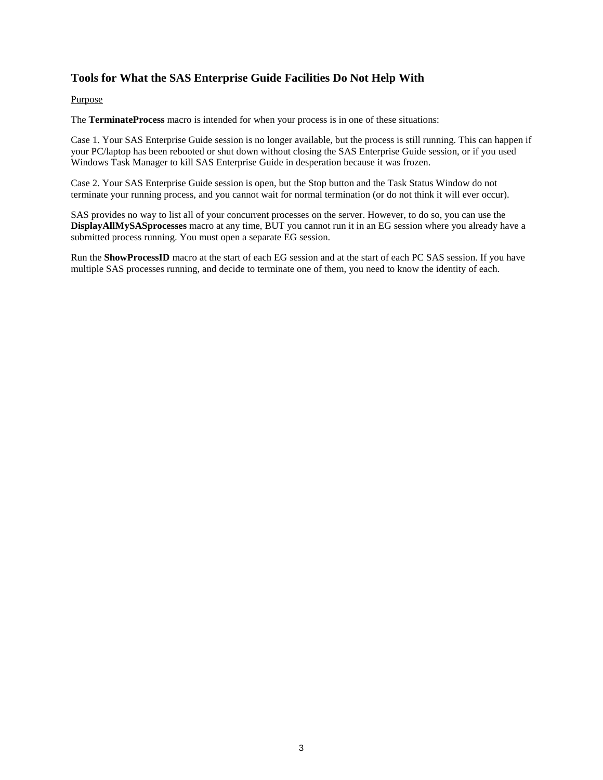## **Tools for What the SAS Enterprise Guide Facilities Do Not Help With**

### Purpose

The **TerminateProcess** macro is intended for when your process is in one of these situations:

Case 1. Your SAS Enterprise Guide session is no longer available, but the process is still running. This can happen if your PC/laptop has been rebooted or shut down without closing the SAS Enterprise Guide session, or if you used Windows Task Manager to kill SAS Enterprise Guide in desperation because it was frozen.

Case 2. Your SAS Enterprise Guide session is open, but the Stop button and the Task Status Window do not terminate your running process, and you cannot wait for normal termination (or do not think it will ever occur).

SAS provides no way to list all of your concurrent processes on the server. However, to do so, you can use the **DisplayAllMySASprocesses** macro at any time, BUT you cannot run it in an EG session where you already have a submitted process running. You must open a separate EG session.

Run the **ShowProcessID** macro at the start of each EG session and at the start of each PC SAS session. If you have multiple SAS processes running, and decide to terminate one of them, you need to know the identity of each.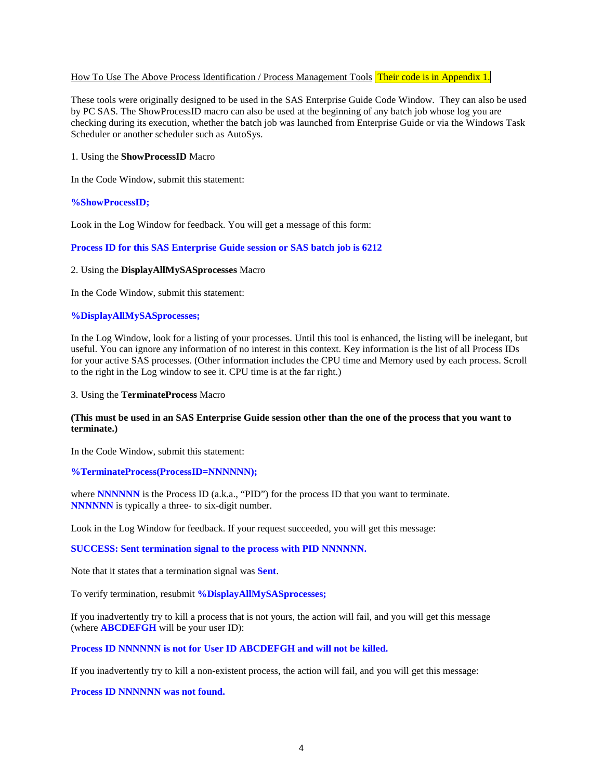### How To Use The Above Process Identification / Process Management Tools Their code is in Appendix 1.

These tools were originally designed to be used in the SAS Enterprise Guide Code Window. They can also be used by PC SAS. The ShowProcessID macro can also be used at the beginning of any batch job whose log you are checking during its execution, whether the batch job was launched from Enterprise Guide or via the Windows Task Scheduler or another scheduler such as AutoSys.

### 1. Using the **ShowProcessID** Macro

In the Code Window, submit this statement:

### **%ShowProcessID;**

Look in the Log Window for feedback. You will get a message of this form:

### **Process ID for this SAS Enterprise Guide session or SAS batch job is 6212**

### 2. Using the **DisplayAllMySASprocesses** Macro

In the Code Window, submit this statement:

### **%DisplayAllMySASprocesses;**

In the Log Window, look for a listing of your processes. Until this tool is enhanced, the listing will be inelegant, but useful. You can ignore any information of no interest in this context. Key information is the list of all Process IDs for your active SAS processes. (Other information includes the CPU time and Memory used by each process. Scroll to the right in the Log window to see it. CPU time is at the far right.)

### 3. Using the **TerminateProcess** Macro

### **(This must be used in an SAS Enterprise Guide session other than the one of the process that you want to terminate.)**

In the Code Window, submit this statement:

### **%TerminateProcess(ProcessID=NNNNNN);**

where **NNNNNN** is the Process ID (a.k.a., "PID") for the process ID that you want to terminate. **NNNNNN** is typically a three- to six-digit number.

Look in the Log Window for feedback. If your request succeeded, you will get this message:

### **SUCCESS: Sent termination signal to the process with PID NNNNNN.**

Note that it states that a termination signal was **Sent**.

To verify termination, resubmit **%DisplayAllMySASprocesses;**

If you inadvertently try to kill a process that is not yours, the action will fail, and you will get this message (where **ABCDEFGH** will be your user ID):

### **Process ID NNNNNN is not for User ID ABCDEFGH and will not be killed.**

If you inadvertently try to kill a non-existent process, the action will fail, and you will get this message:

### **Process ID NNNNNN was not found.**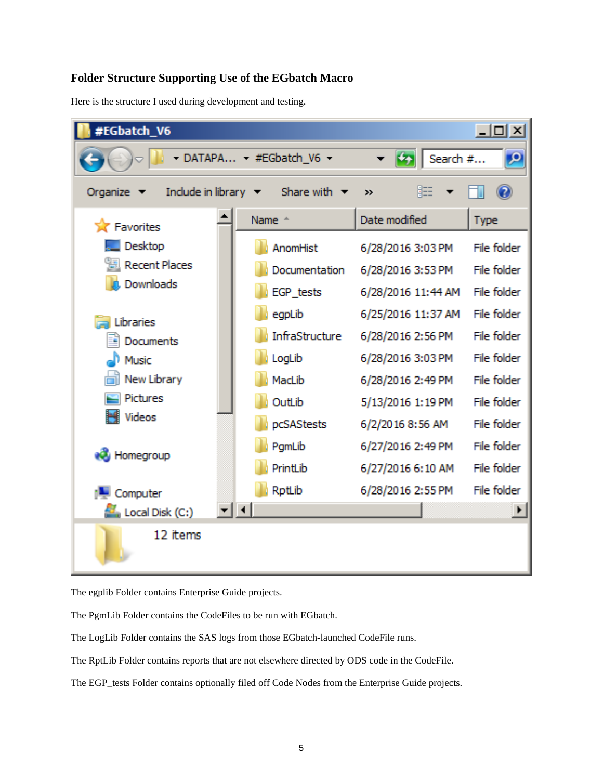## **Folder Structure Supporting Use of the EGbatch Macro**

Here is the structure I used during development and testing.



The egplib Folder contains Enterprise Guide projects.

The PgmLib Folder contains the CodeFiles to be run with EGbatch.

The LogLib Folder contains the SAS logs from those EGbatch-launched CodeFile runs.

The RptLib Folder contains reports that are not elsewhere directed by ODS code in the CodeFile.

The EGP\_tests Folder contains optionally filed off Code Nodes from the Enterprise Guide projects.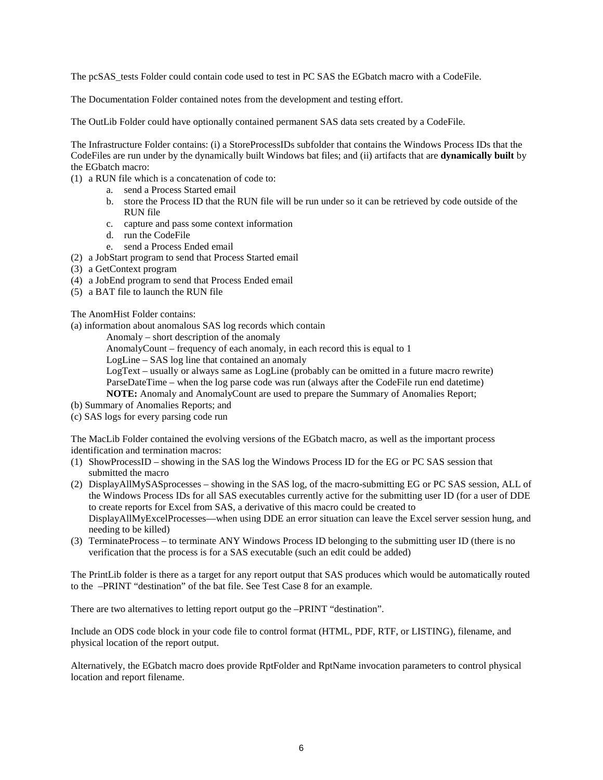The pcSAS\_tests Folder could contain code used to test in PC SAS the EGbatch macro with a CodeFile.

The Documentation Folder contained notes from the development and testing effort.

The OutLib Folder could have optionally contained permanent SAS data sets created by a CodeFile.

The Infrastructure Folder contains: (i) a StoreProcessIDs subfolder that contains the Windows Process IDs that the CodeFiles are run under by the dynamically built Windows bat files; and (ii) artifacts that are **dynamically built** by the EGbatch macro:

- (1) a RUN file which is a concatenation of code to:
	- a. send a Process Started email
	- b. store the Process ID that the RUN file will be run under so it can be retrieved by code outside of the RUN file
	- c. capture and pass some context information
	- d. run the CodeFile
	- e. send a Process Ended email
- (2) a JobStart program to send that Process Started email
- (3) a GetContext program
- (4) a JobEnd program to send that Process Ended email
- (5) a BAT file to launch the RUN file

The AnomHist Folder contains:

(a) information about anomalous SAS log records which contain

Anomaly – short description of the anomaly

AnomalyCount – frequency of each anomaly, in each record this is equal to 1

LogLine – SAS log line that contained an anomaly

LogText – usually or always same as LogLine (probably can be omitted in a future macro rewrite)

ParseDateTime – when the log parse code was run (always after the CodeFile run end datetime)

**NOTE:** Anomaly and AnomalyCount are used to prepare the Summary of Anomalies Report;

- (b) Summary of Anomalies Reports; and
- (c) SAS logs for every parsing code run

The MacLib Folder contained the evolving versions of the EGbatch macro, as well as the important process identification and termination macros:

- (1) ShowProcessID showing in the SAS log the Windows Process ID for the EG or PC SAS session that submitted the macro
- (2) DisplayAllMySASprocesses showing in the SAS log, of the macro-submitting EG or PC SAS session, ALL of the Windows Process IDs for all SAS executables currently active for the submitting user ID (for a user of DDE to create reports for Excel from SAS, a derivative of this macro could be created to DisplayAllMyExcelProcesses—when using DDE an error situation can leave the Excel server session hung, and needing to be killed)
- (3) TerminateProcess to terminate ANY Windows Process ID belonging to the submitting user ID (there is no verification that the process is for a SAS executable (such an edit could be added)

The PrintLib folder is there as a target for any report output that SAS produces which would be automatically routed to the –PRINT "destination" of the bat file. See Test Case 8 for an example.

There are two alternatives to letting report output go the –PRINT "destination".

Include an ODS code block in your code file to control format (HTML, PDF, RTF, or LISTING), filename, and physical location of the report output.

Alternatively, the EGbatch macro does provide RptFolder and RptName invocation parameters to control physical location and report filename.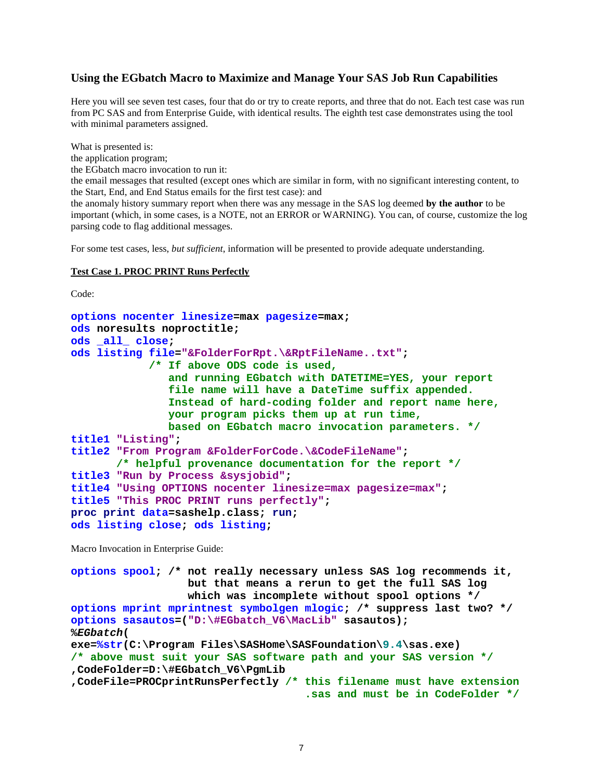### **Using the EGbatch Macro to Maximize and Manage Your SAS Job Run Capabilities**

Here you will see seven test cases, four that do or try to create reports, and three that do not. Each test case was run from PC SAS and from Enterprise Guide, with identical results. The eighth test case demonstrates using the tool with minimal parameters assigned.

What is presented is:

the application program;

the EGbatch macro invocation to run it:

the email messages that resulted (except ones which are similar in form, with no significant interesting content, to the Start, End, and End Status emails for the first test case): and

the anomaly history summary report when there was any message in the SAS log deemed **by the author** to be important (which, in some cases, is a NOTE, not an ERROR or WARNING). You can, of course, customize the log parsing code to flag additional messages.

For some test cases, less, *but sufficient*, information will be presented to provide adequate understanding.

#### **Test Case 1. PROC PRINT Runs Perfectly**

Code:

```
options nocenter linesize=max pagesize=max;
ods noresults noproctitle;
ods _all_ close;
ods listing file="&FolderForRpt.\&RptFileName..txt";
             /* If above ODS code is used,
                and running EGbatch with DATETIME=YES, your report
                file name will have a DateTime suffix appended.
                Instead of hard-coding folder and report name here,
                your program picks them up at run time,
                based on EGbatch macro invocation parameters. */
title1 "Listing";
title2 "From Program &FolderForCode.\&CodeFileName";
        /* helpful provenance documentation for the report */
title3 "Run by Process &sysjobid";
title4 "Using OPTIONS nocenter linesize=max pagesize=max";
title5 "This PROC PRINT runs perfectly"; 
proc print data=sashelp.class; run; 
ods listing close; ods listing;
```
Macro Invocation in Enterprise Guide:

```
options spool; /* not really necessary unless SAS log recommends it,
                   but that means a rerun to get the full SAS log
                  which was incomplete without spool options */
options mprint mprintnest symbolgen mlogic; /* suppress last two? */
options sasautos=("D:\#EGbatch_V6\MacLib" sasautos);
%EGbatch(
exe=%str(C:\Program Files\SASHome\SASFoundation\9.4\sas.exe)
/* above must suit your SAS software path and your SAS version */
,CodeFolder=D:\#EGbatch_V6\PgmLib
,CodeFile=PROCprintRunsPerfectly /* this filename must have extension
                                     .sas and must be in CodeFolder */
```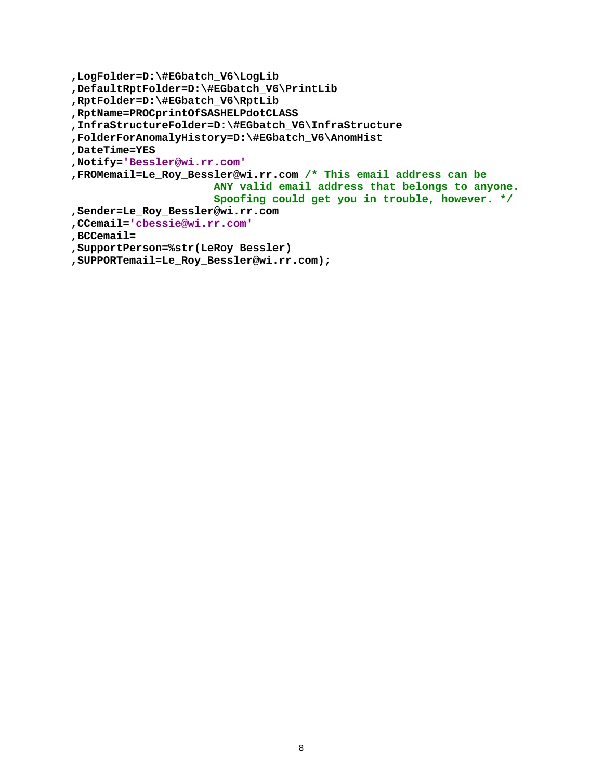```
,LogFolder=D:\#EGbatch_V6\LogLib
,DefaultRptFolder=D:\#EGbatch_V6\PrintLib
,RptFolder=D:\#EGbatch_V6\RptLib
,RptName=PROCprintOfSASHELPdotCLASS
,InfraStructureFolder=D:\#EGbatch_V6\InfraStructure
,FolderForAnomalyHistory=D:\#EGbatch_V6\AnomHist
,DateTime=YES
,Notify='Bessler@wi.rr.com'
,FROMemail=Le_Roy_Bessler@wi.rr.com /* This email address can be
                       ANY valid email address that belongs to anyone. 
                      Spoofing could get you in trouble, however. */
,Sender=Le_Roy_Bessler@wi.rr.com
,CCemail='cbessie@wi.rr.com'
,BCCemail=
,SupportPerson=%str(LeRoy Bessler)
,SUPPORTemail=Le_Roy_Bessler@wi.rr.com);
```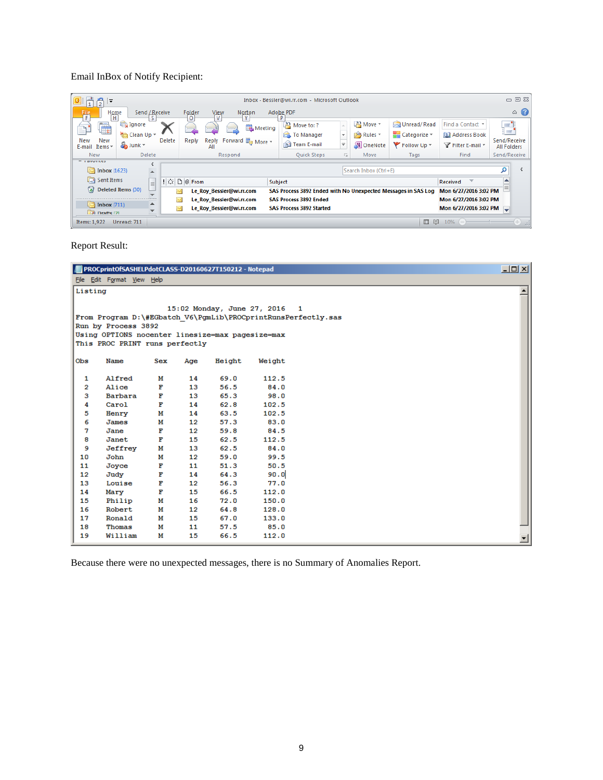## Email InBox of Notify Recipient:

| ∣∓                           |                          |               |             |                                                |         | Inbox - Bessler@wi.rr.com - Microsoft Outlook                 |                         |                       |              |                                      |                                    | $\square \equiv \boxtimes$ |
|------------------------------|--------------------------|---------------|-------------|------------------------------------------------|---------|---------------------------------------------------------------|-------------------------|-----------------------|--------------|--------------------------------------|------------------------------------|----------------------------|
| 鸜<br>Home<br>н               | Send ∠Receive            |               | Folder<br>o | View<br>Norton<br>$\mathbf{M}$<br>$\mathbf{v}$ |         | Adobe PDF<br>P                                                |                         |                       |              |                                      |                                    | $\circ$ $\circ$            |
| è<br>≞∟                      | Ignore                   |               |             | ≻≃                                             | Meeting | $\mathbb{R}^3$ Move to: ?                                     |                         | $A^3$ Move $\sim$     | Unread/Read  | Find a Contact *                     | ■■■<br>:⊨'                         |                            |
|                              | Clean Up *               |               |             |                                                |         | To Manager                                                    | $\mathbf{v}$            | Rules -               | Categorize ~ | <b>Address Book</b>                  |                                    |                            |
| New<br>New<br>E-mail Items - | onk *                    | <b>Delete</b> | Reply       | Forward Ba More -<br>Reply<br>All              |         | Team E-mail                                                   | $\overline{\mathbf{v}}$ | N OneNote             | Follow Up *  | Filter E-mail *                      | Send/Receive<br><b>All Folders</b> |                            |
| <b>New</b>                   | Delete                   |               |             | Respond                                        |         | <b>Ouick Steps</b>                                            | Гs.                     | Move                  | Tags         | Find                                 | Send/Receive                       |                            |
| $= 1$ avoints                |                          |               |             |                                                |         |                                                               |                         |                       |              |                                      |                                    |                            |
| $\boxed{5}$ Inbox (1623)     | $\overline{\phantom{a}}$ |               |             |                                                |         |                                                               |                         | Search Inbox (Ctrl+E) |              |                                      | α                                  |                            |
| Sent Items                   | $\equiv$                 |               | ‼⇔ DI®From  |                                                |         | Subject                                                       |                         |                       |              | $\overline{\phantom{a}}$<br>Received |                                    |                            |
| a) Deleted Items (30)        |                          | þ.,           |             | Le_Roy_Bessler@wi.rr.com                       |         | SAS Process 3892 Ended with No Unexpected Messages in SAS Log |                         |                       |              | Mon 6/27/2016 3:02 PM                |                                    |                            |
|                              |                          |               |             | Le Roy Bessler@wi.rr.com                       |         | <b>SAS Process 3892 Ended</b>                                 |                         |                       |              | Mon 6/27/2016 3:02 PM                |                                    |                            |
| $\sqrt{ }$ Inbox (711)       |                          |               |             | Le Roy Bessler@wi.rr.com                       |         | <b>SAS Process 3892 Started</b>                               |                         |                       |              | Mon 6/27/2016 3:02 PM                |                                    |                            |
| Drafts [2]                   | ▼                        |               |             |                                                |         |                                                               |                         |                       |              |                                      |                                    |                            |
| Items: 1,922                 | Unread: 711              |               |             |                                                |         |                                                               |                         |                       | $\Box$<br>10 | 10%<br>$(-)$                         |                                    | $-1$<br>$\overline{12}$    |

Report Result:

|                 | PROCprintOfSASHELPdotCLASS-D20160627T150212 - Notepad |        |          |                               |               |                                                               | $\Box$ |
|-----------------|-------------------------------------------------------|--------|----------|-------------------------------|---------------|---------------------------------------------------------------|--------|
|                 | File Edit Format View Help                            |        |          |                               |               |                                                               |        |
| Listing         |                                                       |        |          |                               |               |                                                               |        |
|                 |                                                       |        |          |                               |               |                                                               |        |
|                 |                                                       |        |          | 15:02 Monday, June 27, 2016 1 |               |                                                               |        |
|                 |                                                       |        |          |                               |               | From Program D:\#EGbatch V6\PgmLib\PROCprintRunsPerfectly.sas |        |
|                 | Run by Process 3892                                   |        |          |                               |               |                                                               |        |
|                 | Using OPTIONS nocenter linesize=max pagesize=max      |        |          |                               |               |                                                               |        |
|                 | This PROC PRINT runs perfectly                        |        |          |                               |               |                                                               |        |
| Obs             | Name                                                  | Sex    | Age      | Height                        | Weight        |                                                               |        |
|                 |                                                       |        |          |                               |               |                                                               |        |
| 1               | Alfred                                                | м      | 14       | 69.0                          | 112.5         |                                                               |        |
| 2               | Alice                                                 | F      | 13       | 56.5                          | 84.0          |                                                               |        |
| з               | Barbara                                               | F      | 13       | 65.3                          | 98.0          |                                                               |        |
| 4               | Carol                                                 | F      | 14       | 62.8                          | 102.5         |                                                               |        |
| 5               | Henry                                                 | м      | 14       | 63.5                          | 102.5         |                                                               |        |
| 6               | James                                                 | м      | 12       | 57.3                          | 83.0          |                                                               |        |
| 7               | Jane                                                  | F      | 12       | 59.8                          | 84.5          |                                                               |        |
| 8               | Janet                                                 | F      | 15       | 62.5                          | 112.5         |                                                               |        |
| 9               | Jeffrey                                               | М      | 13       | 62.5                          | 84.0          |                                                               |        |
| 10              | John                                                  | м      | 12       | 59.0                          | 99.5          |                                                               |        |
| 11              | Joyce                                                 | F      | 11       | 51.3                          | 50.5          |                                                               |        |
| 12 <sub>2</sub> | Judy                                                  | Е      | 14       | 64.3                          | 90.0          |                                                               |        |
| 13<br>14        | Louise<br>Mary                                        | F<br>F | 12<br>15 | 56.3<br>66.5                  | 77.0<br>112.0 |                                                               |        |
| 15              | Philip                                                | М      | 16       | 72.0                          | 150.0         |                                                               |        |
| 16              | Robert                                                | м      | 12       | 64.8                          | 128.0         |                                                               |        |
| 17              | Ronald                                                | м      | 15       | 67.0                          | 133.0         |                                                               |        |
| 18              | Thomas                                                | м      | 11       | 57.5                          | 85.0          |                                                               |        |
| 19              | William                                               | м      | 15       | 66.5                          | 112.0         |                                                               |        |
|                 |                                                       |        |          |                               |               |                                                               |        |

Because there were no unexpected messages, there is no Summary of Anomalies Report.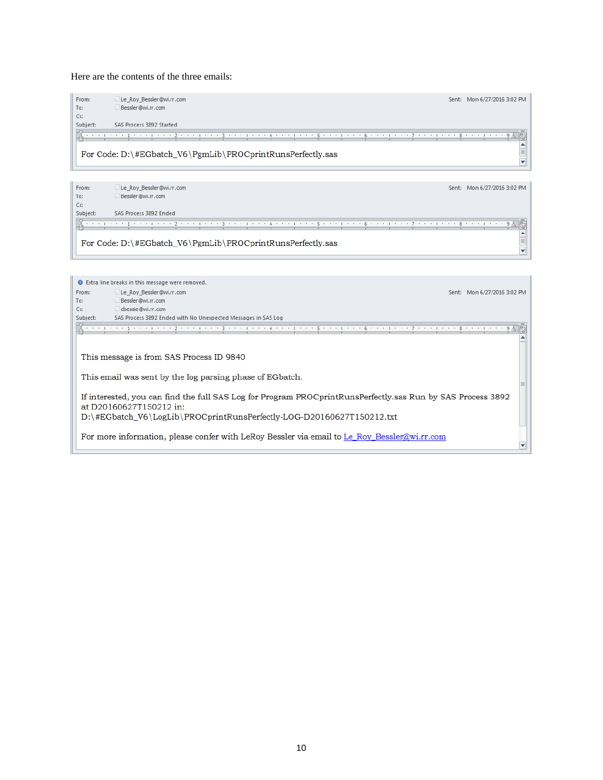### Here are the contents of the three emails:



| From:    | Le Roy Bessler@wi.rr.com                                   | Sent: Mon 6/27/2016 3:02 PM |
|----------|------------------------------------------------------------|-----------------------------|
| To:      | Bessler@wi.rr.com                                          |                             |
| Cc       |                                                            |                             |
| Subject: | SAS Process 3892 Ended                                     |                             |
|          |                                                            | R.<br>-9 시                  |
|          |                                                            |                             |
|          | For Code: D:\#EGbatch_V6\PgmLib\PROCprintRunsPerfectly.sas |                             |
|          |                                                            |                             |

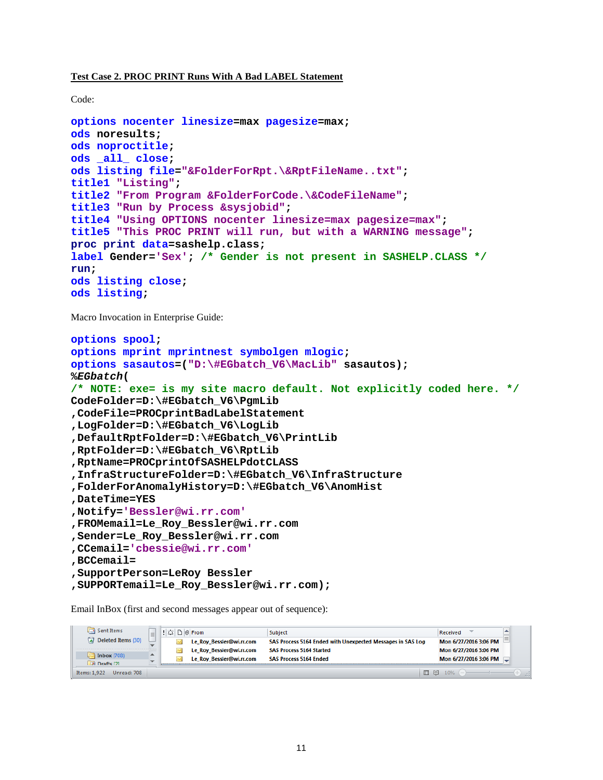### **Test Case 2. PROC PRINT Runs With A Bad LABEL Statement**

Code:

```
options nocenter linesize=max pagesize=max;
ods noresults;
ods noproctitle;
ods _all_ close;
ods listing file="&FolderForRpt.\&RptFileName..txt";
title1 "Listing";
title2 "From Program &FolderForCode.\&CodeFileName";
title3 "Run by Process &sysjobid";
title4 "Using OPTIONS nocenter linesize=max pagesize=max";
title5 "This PROC PRINT will run, but with a WARNING message"; 
proc print data=sashelp.class;
label Gender='Sex'; /* Gender is not present in SASHELP.CLASS */
run; 
ods listing close;
ods listing;
```
Macro Invocation in Enterprise Guide:

```
options spool;
options mprint mprintnest symbolgen mlogic;
options sasautos=("D:\#EGbatch_V6\MacLib" sasautos);
%EGbatch(
/* NOTE: exe= is my site macro default. Not explicitly coded here. */
CodeFolder=D:\#EGbatch_V6\PgmLib
,CodeFile=PROCprintBadLabelStatement
,LogFolder=D:\#EGbatch_V6\LogLib
,DefaultRptFolder=D:\#EGbatch_V6\PrintLib
,RptFolder=D:\#EGbatch_V6\RptLib
,RptName=PROCprintOfSASHELPdotCLASS
,InfraStructureFolder=D:\#EGbatch_V6\InfraStructure
,FolderForAnomalyHistory=D:\#EGbatch_V6\AnomHist
,DateTime=YES
,Notify='Bessler@wi.rr.com'
,FROMemail=Le_Roy_Bessler@wi.rr.com
,Sender=Le_Roy_Bessler@wi.rr.com
,CCemail='cbessie@wi.rr.com'
,BCCemail=
,SupportPerson=LeRoy Bessler
,SUPPORTemail=Le_Roy_Bessler@wi.rr.com);
```
Email InBox (first and second messages appear out of sequence):

| Sent Items                  |  | $\Box \Box$ From         | Subject                                                    | Received              |  |
|-----------------------------|--|--------------------------|------------------------------------------------------------|-----------------------|--|
| Deleted Items (30)          |  | Le Roy Bessler@wi.rr.com | SAS Process 5164 Ended with Unexpected Messages in SAS Log | Mon 6/27/2016 3:06 PM |  |
|                             |  | Le Roy Bessler@wi.rr.com | <b>SAS Process 5164 Started</b>                            | Mon 6/27/2016 3:06 PM |  |
| Inbox $(708)$<br>Drafts [2] |  | Le_Roy_Bessler@wi.rr.com | <b>SAS Process 5164 Ended</b>                              | Mon 6/27/2016 3:06 PM |  |
| Unread: 708<br>Items: 1.922 |  |                          | □ 图                                                        | 10%                   |  |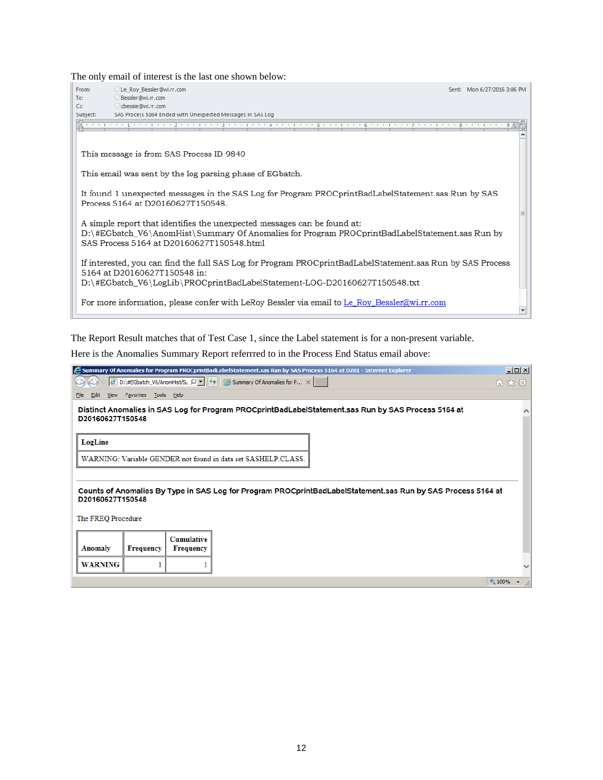The only email of interest is the last one shown below:

| From:    | Le Roy Bessler@wi.rr.com                                                                                                                                                                                                | Sent: Mon 6/27/2016 3:06 PM |  |
|----------|-------------------------------------------------------------------------------------------------------------------------------------------------------------------------------------------------------------------------|-----------------------------|--|
| To:      | Bessler@wi.rr.com                                                                                                                                                                                                       |                             |  |
| Cc:      | cbessie@wi.rr.com                                                                                                                                                                                                       |                             |  |
| Subject: | SAS Process 5164 Ended with Unexpected Messages in SAS Log                                                                                                                                                              |                             |  |
|          | ・・・   ・・・ 1 ・・・   ・・・ 2 ・・・   ・・・ 3 ・・・   ・・・ 4 ・・・   ・・・ 5 ・・・   ・・ 6 ・・ ・   ・・・ 7 ・・・   ・・・ 8 ・・・   ・・・ 9 A                                                                                                           |                             |  |
|          | This message is from SAS Process ID 9840                                                                                                                                                                                |                             |  |
|          | This email was sent by the log parsing phase of EG batch.                                                                                                                                                               |                             |  |
|          | It found 1 unexpected messages in the SAS Log for Program PROCprintBadLabelStatement.sas Run by SAS<br>Process 5164 at D20160627T150548.                                                                                |                             |  |
|          | A simple report that identifies the unexpected messages can be found at:<br>D:\#EGbatch_V6\AnomHist\Summary Of Anomalies for Program PROCprintBadLabelStatement.sas Run by<br>SAS Process 5164 at D20160627T150548.html |                             |  |
|          | If interested, you can find the full SAS Log for Program PROCprintBadLabelStatement sas Run by SAS Process<br>5164 at D20160627T150548 in:                                                                              |                             |  |
|          | D:\#EGbatch_V6\LogLib\PROCprintBadLabelStatement-LOG-D20160627T150548.txt                                                                                                                                               |                             |  |
|          | For more information, please confer with LeRoy Bessler via email to Le Roy Bessler@wi.rr.com                                                                                                                            |                             |  |

The Report Result matches that of Test Case 1, since the Label statement is for a non-present variable.

Here is the Anomalies Summary Report referrred to in the Process End Status email above:

| Summary Of Anomalies for Program PROCprintBadLabelStatement.sas Run by SAS Process 5164 at D201 - Internet Explorer                             | I                   |
|-------------------------------------------------------------------------------------------------------------------------------------------------|---------------------|
| $\left \epsilon\right $ D:\#EGbatch_V6/AnomHist/Su $\Omega$ $\left \epsilon\right $ $\left \epsilon\right $ Summary Of Anomalies for P $\times$ | 价 太 懲               |
| View Favorites Tools Help<br>File<br>Edit                                                                                                       |                     |
| Distinct Anomalies in SAS Log for Program PROCprintBadLabelStatement.sas Run by SAS Process 5164 at                                             |                     |
| D20160627T150548                                                                                                                                |                     |
| LogLine                                                                                                                                         |                     |
|                                                                                                                                                 |                     |
| WARNING: Variable GENDER not found in data set SASHELP.CLASS.                                                                                   |                     |
|                                                                                                                                                 |                     |
| Counts of Anomalies By Type in SAS Log for Program PROCprintBadLabelStatement.sas Run by SAS Process 5164 at                                    |                     |
| D20160627T150548                                                                                                                                |                     |
| The FREQ Procedure                                                                                                                              |                     |
|                                                                                                                                                 |                     |
| <b>Cumulative</b>                                                                                                                               |                     |
| Anomaly<br><b>Frequency</b><br><b>Frequency</b>                                                                                                 |                     |
| <b>WARNING</b>                                                                                                                                  |                     |
|                                                                                                                                                 | $\frac{100\%}{ }$ v |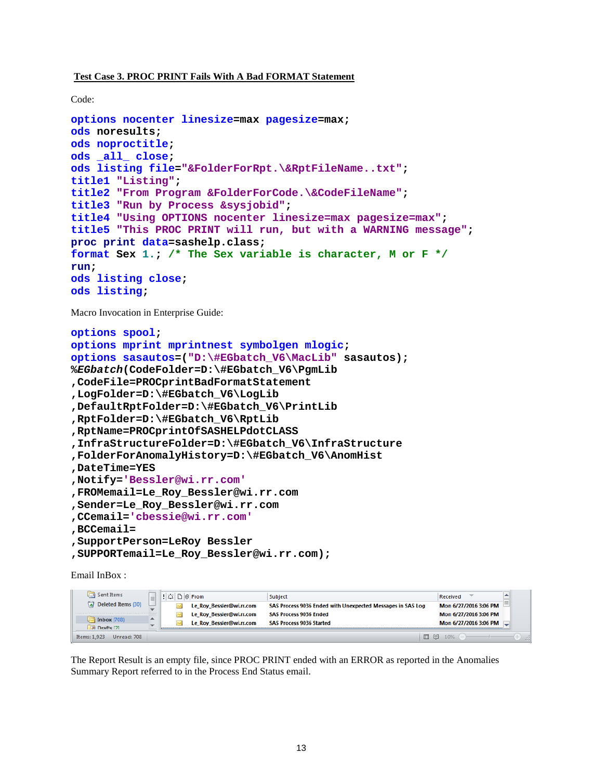### **Test Case 3. PROC PRINT Fails With A Bad FORMAT Statement**

Code:

```
options nocenter linesize=max pagesize=max;
ods noresults;
ods noproctitle;
ods _all_ close;
ods listing file="&FolderForRpt.\&RptFileName..txt";
title1 "Listing";
title2 "From Program &FolderForCode.\&CodeFileName";
title3 "Run by Process &sysjobid";
title4 "Using OPTIONS nocenter linesize=max pagesize=max";
title5 "This PROC PRINT will run, but with a WARNING message"; 
proc print data=sashelp.class;
format Sex 1.; /* The Sex variable is character, M or F */
run; 
ods listing close;
ods listing;
```
Macro Invocation in Enterprise Guide:

```
options spool;
options mprint mprintnest symbolgen mlogic;
options sasautos=("D:\#EGbatch_V6\MacLib" sasautos);
%EGbatch(CodeFolder=D:\#EGbatch_V6\PgmLib
,CodeFile=PROCprintBadFormatStatement
,LogFolder=D:\#EGbatch_V6\LogLib
,DefaultRptFolder=D:\#EGbatch_V6\PrintLib
,RptFolder=D:\#EGbatch_V6\RptLib
,RptName=PROCprintOfSASHELPdotCLASS
,InfraStructureFolder=D:\#EGbatch_V6\InfraStructure
,FolderForAnomalyHistory=D:\#EGbatch_V6\AnomHist
,DateTime=YES
,Notify='Bessler@wi.rr.com'
,FROMemail=Le_Roy_Bessler@wi.rr.com
,Sender=Le_Roy_Bessler@wi.rr.com
,CCemail='cbessie@wi.rr.com'
,BCCemail=
,SupportPerson=LeRoy Bessler
,SUPPORTemail=Le_Roy_Bessler@wi.rr.com);
```
Email InBox :

| Sent Items                  | = | $\left \left \right  \right $ $\left \right $ $\left \right $ $\left \right $ $\left \left  \right $ $\left \right $ $\left \right $ $\left \left  \right $ $\left \right $ $\left \left  \right $ $\left \left  \right  \right $ $\left \left  \right  \right $ $\left \left  \right $ $\left \left  \right  \right $ $\left \left  \right  \right $ $\left \left  \right $ $\left \left  \right  \right $ $\left \left  \right  \right $ $\left \left  \right  \right $ $\left \left  \$ |                          | Subject                                                    |     | Received              |  |
|-----------------------------|---|--------------------------------------------------------------------------------------------------------------------------------------------------------------------------------------------------------------------------------------------------------------------------------------------------------------------------------------------------------------------------------------------------------------------------------------------------------------------------------------------|--------------------------|------------------------------------------------------------|-----|-----------------------|--|
| a) Deleted Items (30)       |   |                                                                                                                                                                                                                                                                                                                                                                                                                                                                                            | Le Roy Bessler@wi.rr.com | SAS Process 9036 Ended with Unexpected Messages in SAS Log |     | Mon 6/27/2016 3:06 PM |  |
|                             |   |                                                                                                                                                                                                                                                                                                                                                                                                                                                                                            | Le Roy Bessler@wi.rr.com | <b>SAS Process 9036 Ended</b>                              |     | Mon 6/27/2016 3:06 PM |  |
| Inbox $(708)$<br>Drafts [2] |   |                                                                                                                                                                                                                                                                                                                                                                                                                                                                                            | Le Roy Bessler@wi.rr.com | <b>SAS Process 9036 Started</b>                            |     | Mon 6/27/2016 3:06 PM |  |
| Unread: 708<br>Items: 1.923 |   |                                                                                                                                                                                                                                                                                                                                                                                                                                                                                            |                          |                                                            | □ 图 | 10%                   |  |

The Report Result is an empty file, since PROC PRINT ended with an ERROR as reported in the Anomalies Summary Report referred to in the Process End Status email.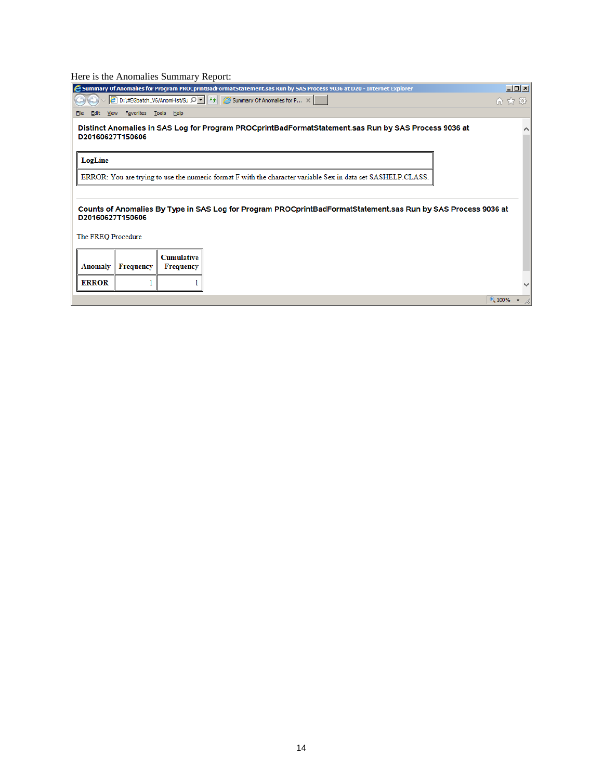### Here is the Anomalies Summary Report:

| E Summary Of Anomalies for Program PROCprintBadFormatStatement.sas Run by SAS Process 9036 at D20 - Internet Explorer                           | $\Box$ |
|-------------------------------------------------------------------------------------------------------------------------------------------------|--------|
| $\left \epsilon\right $ D:\#EGbatch_V6/AnomHist/Su $\Omega$ $\left \epsilon\right $ $\left \epsilon\right $ Summary Of Anomalies for P $\times$ | 价太好    |
| View Favorites Tools Help<br>Edit<br>File                                                                                                       |        |
| Distinct Anomalies in SAS Log for Program PROCprintBadFormatStatement.sas Run by SAS Process 9036 at<br>D20160627T150606                        |        |
| LogLine                                                                                                                                         |        |
| ERROR: You are trying to use the numeric format F with the character variable Sex in data set SASHELP.CLASS.                                    |        |
|                                                                                                                                                 |        |
| Counts of Anomalies By Type in SAS Log for Program PROCprintBadFormatStatement.sas Run by SAS Process 9036 at<br>D20160627T150606               |        |
| The FREQ Procedure                                                                                                                              |        |
| <b>Cumulative</b><br><b>Frequency</b><br>Anomaly<br><b>Frequency</b>                                                                            |        |
| <b>ERROR</b>                                                                                                                                    |        |
|                                                                                                                                                 | 4100%  |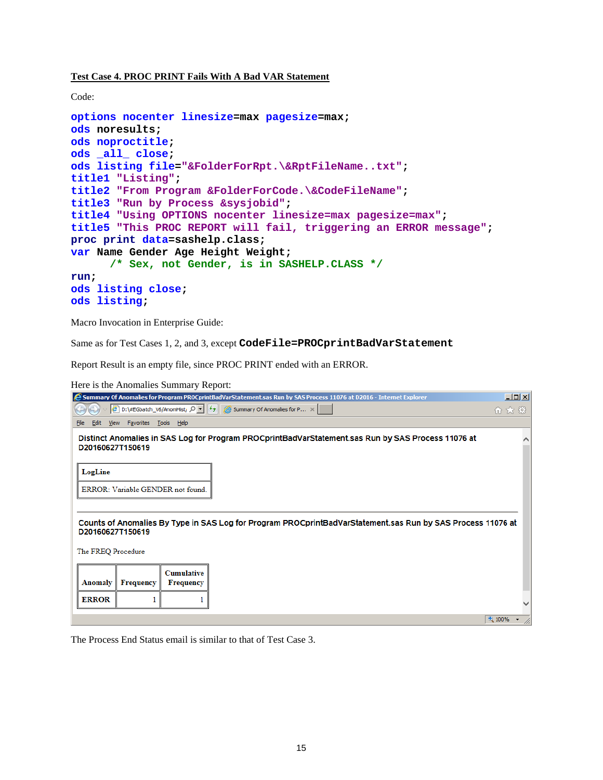**Test Case 4. PROC PRINT Fails With A Bad VAR Statement**

Code:

```
options nocenter linesize=max pagesize=max;
ods noresults;
ods noproctitle;
ods _all_ close;
ods listing file="&FolderForRpt.\&RptFileName..txt";
title1 "Listing";
title2 "From Program &FolderForCode.\&CodeFileName"; 
title3 "Run by Process &sysjobid";
title4 "Using OPTIONS nocenter linesize=max pagesize=max";
title5 "This PROC REPORT will fail, triggering an ERROR message"; 
proc print data=sashelp.class;
var Name Gender Age Height Weight; 
       /* Sex, not Gender, is in SASHELP.CLASS */
run; 
ods listing close;
ods listing;
```
Macro Invocation in Enterprise Guide:

Same as for Test Cases 1, 2, and 3, except **CodeFile=PROCprintBadVarStatement**

Report Result is an empty file, since PROC PRINT ended with an ERROR.

Here is the Anomalies Summary Report:

| Summary Of Anomalies for Program PROCprintBadVarStatement.sas Run by SAS Process 11076 at D2016 - Internet Explorer                                        | $-12X$ |
|------------------------------------------------------------------------------------------------------------------------------------------------------------|--------|
| $\left \mathcal{C}\right $ D:\#EGbatch_V6/AnomHist <sub>i</sub> $\mathcal{Q}$ $\left \mathcal{L}\right $ $\mathcal{L}$ Summary Of Anomalies for P $\times$ | 价 太 懲  |
| View Favorites Tools Help<br>Edit<br>File                                                                                                                  |        |
| Distinct Anomalies in SAS Log for Program PROCprintBadVarStatement sas Run by SAS Process 11076 at<br>D20160627T150619                                     |        |
| LogLine                                                                                                                                                    |        |
| ERROR: Variable GENDER not found.                                                                                                                          |        |
|                                                                                                                                                            |        |
| Counts of Anomalies By Type in SAS Log for Program PROCprintBadVarStatement.sas Run by SAS Process 11076 at<br>D20160627T150619                            |        |
| The FREQ Procedure                                                                                                                                         |        |
| <b>Cumulative</b>                                                                                                                                          |        |
| Anomaly<br><b>Frequency</b><br><b>Frequency</b>                                                                                                            |        |
| <b>ERROR</b>                                                                                                                                               |        |
|                                                                                                                                                            | 4100%  |

The Process End Status email is similar to that of Test Case 3.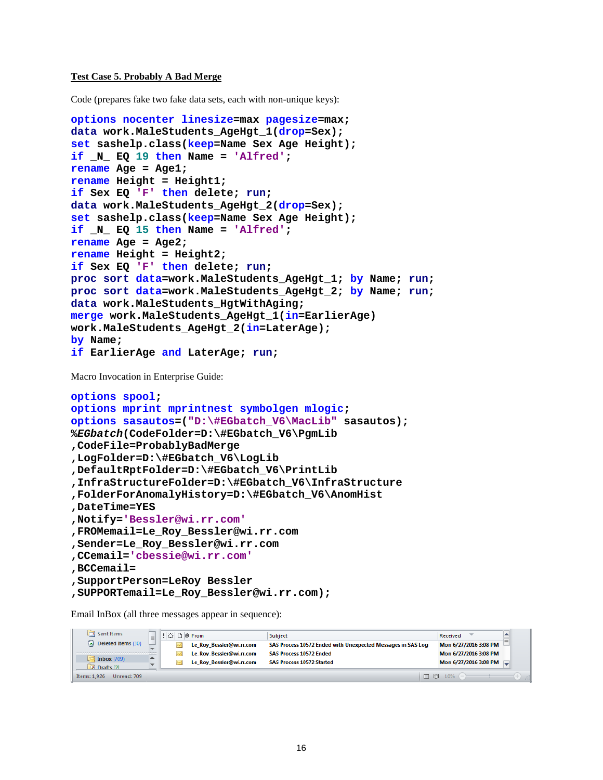#### **Test Case 5. Probably A Bad Merge**

Code (prepares fake two fake data sets, each with non-unique keys):

```
options nocenter linesize=max pagesize=max;
data work.MaleStudents_AgeHgt_1(drop=Sex);
set sashelp.class(keep=Name Sex Age Height);
if _N_ EQ 19 then Name = 'Alfred';
rename Age = Age1;
rename Height = Height1;
if Sex EQ 'F' then delete; run;
data work.MaleStudents_AgeHgt_2(drop=Sex);
set sashelp.class(keep=Name Sex Age Height);
if _N_ EQ 15 then Name = 'Alfred';
rename Age = Age2;
rename Height = Height2;
if Sex EQ 'F' then delete; run;
proc sort data=work.MaleStudents_AgeHgt_1; by Name; run;
proc sort data=work.MaleStudents_AgeHgt_2; by Name; run;
data work.MaleStudents_HgtWithAging;
merge work.MaleStudents_AgeHgt_1(in=EarlierAge) 
work.MaleStudents_AgeHgt_2(in=LaterAge);
by Name;
if EarlierAge and LaterAge; run;
```
Macro Invocation in Enterprise Guide:

```
options spool;
options mprint mprintnest symbolgen mlogic;
options sasautos=("D:\#EGbatch_V6\MacLib" sasautos);
%EGbatch(CodeFolder=D:\#EGbatch_V6\PgmLib
,CodeFile=ProbablyBadMerge
,LogFolder=D:\#EGbatch_V6\LogLib
,DefaultRptFolder=D:\#EGbatch_V6\PrintLib
,InfraStructureFolder=D:\#EGbatch_V6\InfraStructure
,FolderForAnomalyHistory=D:\#EGbatch_V6\AnomHist
,DateTime=YES
,Notify='Bessler@wi.rr.com'
,FROMemail=Le_Roy_Bessler@wi.rr.com
,Sender=Le_Roy_Bessler@wi.rr.com
,CCemail='cbessie@wi.rr.com'
,BCCemail=
,SupportPerson=LeRoy Bessler
,SUPPORTemail=Le_Roy_Bessler@wi.rr.com);
```
Email InBox (all three messages appear in sequence):

| $\Box$ Sent Items                   | $\left \left \right  \Delta \right $ $\Box$ $\left  \right $ From |                          | Subject                                                     |     | Received              |  |
|-------------------------------------|-------------------------------------------------------------------|--------------------------|-------------------------------------------------------------|-----|-----------------------|--|
| a) Deleted Items (30)               |                                                                   | Le Roy Bessler@wi.rr.com | SAS Process 10572 Ended with Unexpected Messages in SAS Log |     | Mon 6/27/2016 3:08 PM |  |
|                                     |                                                                   | Le Roy Bessler@wi.rr.com | <b>SAS Process 10572 Ended</b>                              |     | Mon 6/27/2016 3:08 PM |  |
| $\lambda$ Inbox (709)<br>Drafts [2] |                                                                   | Le Roy Bessler@wi.rr.com | <b>SAS Process 10572 Started</b>                            |     | Mon 6/27/2016 3:08 PM |  |
| Unread: 709<br>Items: 1.926         |                                                                   |                          |                                                             | □ ■ | $10%$ $(-)$           |  |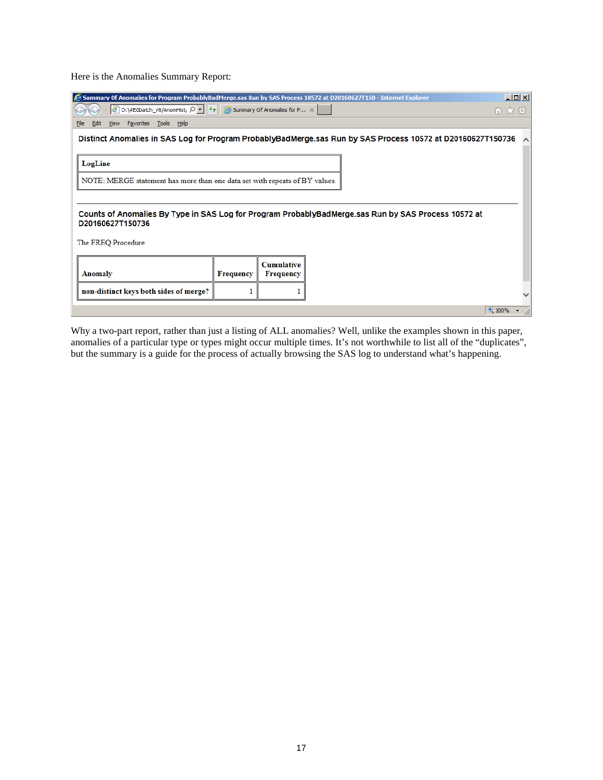Here is the Anomalies Summary Report:

| Summary Of Anomalies for Program ProbablyBadMerge.sas Run by SAS Process 10572 at D20160627T150 - Internet Explorer                                                |                  |                                       |                                                                                                     | $\Box$ D $\times$ |  |  |  |  |  |
|--------------------------------------------------------------------------------------------------------------------------------------------------------------------|------------------|---------------------------------------|-----------------------------------------------------------------------------------------------------|-------------------|--|--|--|--|--|
| $\left \mathcal{C}\right $ D:\#EGbatch_V6/AnomHist <sub>y</sub> $\Omega$ $\left \mathcal{L}\right $ $\left \mathcal{L}\right $ Summary Of Anomalies for P $\times$ |                  |                                       |                                                                                                     | 价 太 懲             |  |  |  |  |  |
| View Favorites Tools Help<br>Edit<br>File                                                                                                                          |                  |                                       |                                                                                                     |                   |  |  |  |  |  |
| Distinct Anomalies in SAS Log for Program ProbablyBadMerge.sas Run by SAS Process 10572 at D20160627T150736                                                        |                  |                                       |                                                                                                     |                   |  |  |  |  |  |
|                                                                                                                                                                    |                  |                                       |                                                                                                     |                   |  |  |  |  |  |
| LogLine                                                                                                                                                            |                  |                                       |                                                                                                     |                   |  |  |  |  |  |
| NOTE: MERGE statement has more than one data set with repeats of BY values.                                                                                        |                  |                                       |                                                                                                     |                   |  |  |  |  |  |
|                                                                                                                                                                    |                  |                                       |                                                                                                     |                   |  |  |  |  |  |
| D20160627T150736                                                                                                                                                   |                  |                                       | Counts of Anomalies By Type in SAS Log for Program ProbablyBadMerge.sas Run by SAS Process 10572 at |                   |  |  |  |  |  |
| The FREQ Procedure                                                                                                                                                 |                  |                                       |                                                                                                     |                   |  |  |  |  |  |
| Anomaly                                                                                                                                                            | <b>Frequency</b> | <b>Cumulative</b><br><b>Frequency</b> |                                                                                                     |                   |  |  |  |  |  |
| non-distinct keys both sides of merge?                                                                                                                             |                  |                                       |                                                                                                     |                   |  |  |  |  |  |
|                                                                                                                                                                    |                  |                                       | 4100%                                                                                               |                   |  |  |  |  |  |

Why a two-part report, rather than just a listing of ALL anomalies? Well, unlike the examples shown in this paper, anomalies of a particular type or types might occur multiple times. It's not worthwhile to list all of the "duplicates", but the summary is a guide for the process of actually browsing the SAS log to understand what's happening.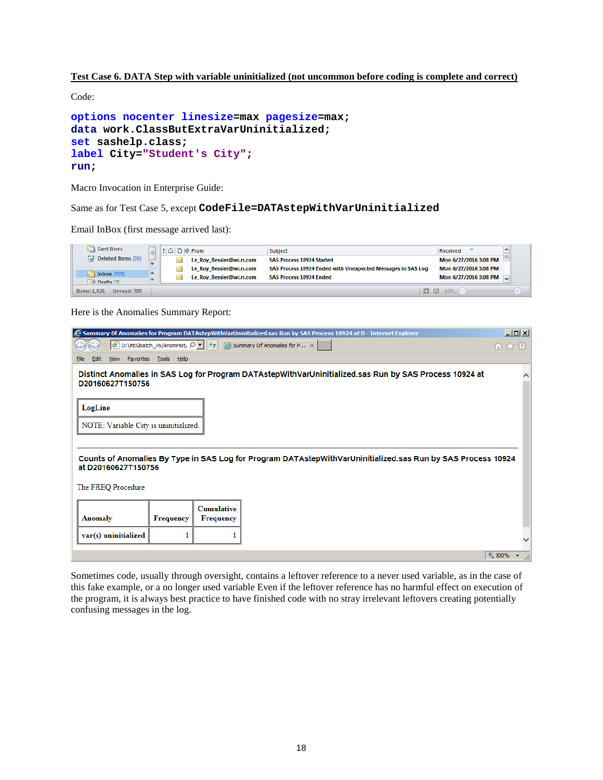### **Test Case 6. DATA Step with variable uninitialized (not uncommon before coding is complete and correct)**

Code:

```
options nocenter linesize=max pagesize=max;
data work.ClassButExtraVarUninitialized;
set sashelp.class;
label City="Student's City";
run;
```
Macro Invocation in Enterprise Guide:

Same as for Test Case 5, except **CodeFile=DATAstepWithVarUninitialized**

Email InBox (first message arrived last):

| $\Box$ Sent Items               | $\equiv$ | $\left \left \right  \right $ $\left \right $ $\left \right $ $\left \right $ $\left \left  \right $ $\left \right $ $\left \left  \right $ $\left \right $ $\left \left  \right $ $\left \left  \right  \right $ |                          | Subject                                                     | Received |                       |  |
|---------------------------------|----------|-------------------------------------------------------------------------------------------------------------------------------------------------------------------------------------------------------------------|--------------------------|-------------------------------------------------------------|----------|-----------------------|--|
| a) Deleted Items (30)           |          |                                                                                                                                                                                                                   | Le Roy Bessler@wi.rr.com | <b>SAS Process 10924 Started</b>                            |          | Mon 6/27/2016 3:08 PM |  |
|                                 |          |                                                                                                                                                                                                                   | Le Roy Bessler@wi.rr.com | SAS Process 10924 Ended with Unexpected Messages in SAS Log |          | Mon 6/27/2016 3:08 PM |  |
| $ $ Inbox $(709)$<br>Drafts [2] |          |                                                                                                                                                                                                                   | Le Roy Bessler@wi.rr.com | <b>SAS Process 10924 Ended</b>                              |          | Mon 6/27/2016 3:08 PM |  |
| Items: 1.926<br>Unread: 709     |          |                                                                                                                                                                                                                   |                          | □ 图                                                         | 10%      |                       |  |

Here is the Anomalies Summary Report:

| Summary Of Anomalies for Program DATAstepWithVarUninitialized.sas Run by SAS Process 10924 at D - Internet Explorer                 |                  |                                       |                                                                                                                                                           |       |  |  |
|-------------------------------------------------------------------------------------------------------------------------------------|------------------|---------------------------------------|-----------------------------------------------------------------------------------------------------------------------------------------------------------|-------|--|--|
|                                                                                                                                     |                  |                                       | $\left \epsilon\right $ D:\#EGbatch_V6/AnomHist <sub>i</sub> $\Omega$ $\left \epsilon\right $ $\left \epsilon\right $ Summary Of Anomalies for P $\times$ | 价大街   |  |  |
| View Favorites Tools Help<br>Edit<br>Eile                                                                                           |                  |                                       |                                                                                                                                                           |       |  |  |
| D20160627T150756                                                                                                                    |                  |                                       | Distinct Anomalies in SAS Log for Program DATAstepWithVarUninitialized.sas Run by SAS Process 10924 at                                                    |       |  |  |
| LogLine                                                                                                                             |                  |                                       |                                                                                                                                                           |       |  |  |
| NOTE: Variable City is uninitialized.                                                                                               |                  |                                       |                                                                                                                                                           |       |  |  |
| Counts of Anomalies By Type in SAS Log for Program DATAstepWithVarUninitialized.sas Run by SAS Process 10924<br>at D20160627T150756 |                  |                                       |                                                                                                                                                           |       |  |  |
| The FREQ Procedure                                                                                                                  |                  |                                       |                                                                                                                                                           |       |  |  |
| <b>Anomaly</b>                                                                                                                      | <b>Frequency</b> | <b>Cumulative</b><br><b>Frequency</b> |                                                                                                                                                           |       |  |  |
| var(s) uninitialized                                                                                                                |                  |                                       |                                                                                                                                                           |       |  |  |
|                                                                                                                                     |                  |                                       |                                                                                                                                                           | 4100% |  |  |

Sometimes code, usually through oversight, contains a leftover reference to a never used variable, as in the case of this fake example, or a no longer used variable Even if the leftover reference has no harmful effect on execution of the program, it is always best practice to have finished code with no stray irrelevant leftovers creating potentially confusing messages in the log.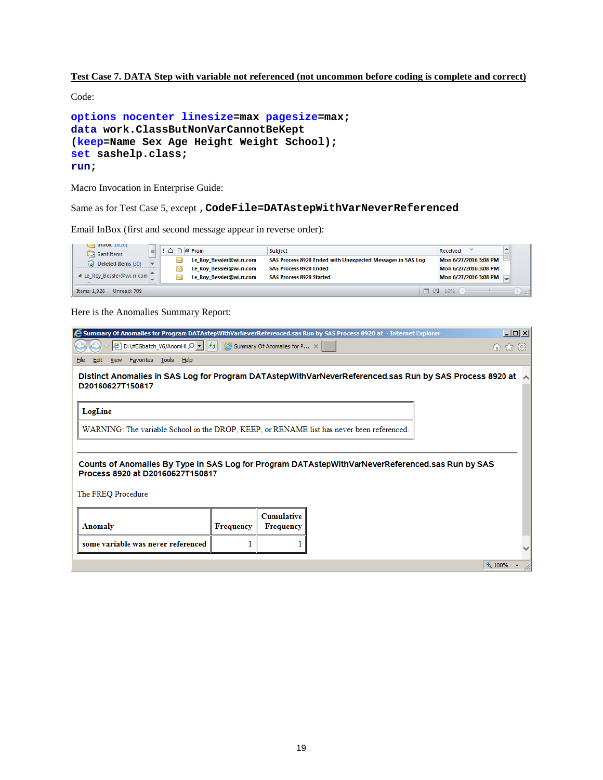### **Test Case 7. DATA Step with variable not referenced (not uncommon before coding is complete and correct)**

Code:

```
options nocenter linesize=max pagesize=max;
data work.ClassButNonVarCannotBeKept
(keep=Name Sex Age Height Weight School);
set sashelp.class;
run;
```
Macro Invocation in Enterprise Guide:

Same as for Test Case 5, except ,**CodeFile=DATAstepWithVarNeverReferenced**

Email InBox (first and second message appear in reverse order):

| n∽d πinnox (10⊼0)<br>$\Box$ Sent Items | 를 | !   ∆   ∆   D   0 From |                          | Subject                                                    |     | Received              |  |
|----------------------------------------|---|------------------------|--------------------------|------------------------------------------------------------|-----|-----------------------|--|
| a) Deleted Items (30)                  |   |                        | Le Roy Bessler@wi.rr.com | SAS Process 8920 Ended with Unexpected Messages in SAS Log |     | Mon 6/27/2016 3:08 PM |  |
|                                        |   |                        | Le Roy Bessler@wi.rr.com | <b>SAS Process 8920 Ended</b>                              |     | Mon 6/27/2016 3:08 PM |  |
| 4 Le Roy Bessler@wi.rr.com             |   |                        | Le_Roy_Bessler@wi.rr.com | <b>SAS Process 8920 Started</b>                            |     | Mon 6/27/2016 3:08 PM |  |
| Unread: 709<br>Items: 1.926            |   |                        |                          |                                                            | □ 图 | 10%                   |  |

Here is the Anomalies Summary Report:

| Summary Of Anomalies for Program DATAstepWithVarNeverReferenced.sas Run by SAS Process 8920 at - Internet Explorer<br>$\Box$ D $\Box$ $\times$                       |                  |                                       |  |       |  |  |
|----------------------------------------------------------------------------------------------------------------------------------------------------------------------|------------------|---------------------------------------|--|-------|--|--|
| $\left \mathcal{C}\right $ D:\#EGbatch_V6/AnomHi $\left \mathcal{D}\right $ $\left \leftarrow\right $ $\left \mathcal{C}\right $ Summary Of Anomalies for P $\times$ |                  |                                       |  |       |  |  |
| View Favorites Tools Help<br>Edit<br>File                                                                                                                            |                  |                                       |  |       |  |  |
| Distinct Anomalies in SAS Log for Program DATAstepWithVarNeverReferenced.sas Run by SAS Process 8920 at $\sim$<br>D20160627T150817                                   |                  |                                       |  |       |  |  |
| LogLine                                                                                                                                                              |                  |                                       |  |       |  |  |
| WARNING: The variable School in the DROP, KEEP, or RENAME list has never been referenced.                                                                            |                  |                                       |  |       |  |  |
|                                                                                                                                                                      |                  |                                       |  |       |  |  |
| Counts of Anomalies By Type in SAS Log for Program DATAstepWithVarNeverReferenced.sas Run by SAS<br>Process 8920 at D20160627T150817                                 |                  |                                       |  |       |  |  |
| The FREQ Procedure                                                                                                                                                   |                  |                                       |  |       |  |  |
| Anomaly                                                                                                                                                              | <b>Frequency</b> | <b>Cumulative</b><br><b>Frequency</b> |  |       |  |  |
| some variable was never referenced                                                                                                                                   |                  |                                       |  |       |  |  |
|                                                                                                                                                                      |                  |                                       |  | 4100% |  |  |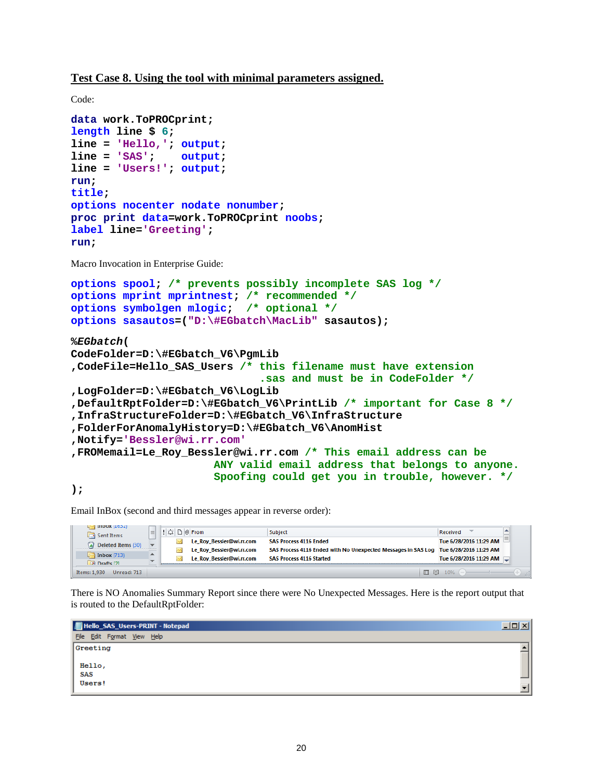**Test Case 8. Using the tool with minimal parameters assigned.**

```
Code:
data work.ToPROCprint;
length line $ 6;
line = 'Hello,'; output;
line = 'SAS'; output;
line = 'Users!'; output;
run;
title;
options nocenter nodate nonumber;
proc print data=work.ToPROCprint noobs;
label line='Greeting';
run;
Macro Invocation in Enterprise Guide:
options spool; /* prevents possibly incomplete SAS log */
options mprint mprintnest; /* recommended */
options symbolgen mlogic; /* optional */
options sasautos=("D:\#EGbatch\MacLib" sasautos);
%EGbatch(
CodeFolder=D:\#EGbatch_V6\PgmLib
,CodeFile=Hello_SAS_Users /* this filename must have extension
                               .sas and must be in CodeFolder */
,LogFolder=D:\#EGbatch_V6\LogLib
,DefaultRptFolder=D:\#EGbatch_V6\PrintLib /* important for Case 8 */
,InfraStructureFolder=D:\#EGbatch_V6\InfraStructure
,FolderForAnomalyHistory=D:\#EGbatch_V6\AnomHist
,Notify='Bessler@wi.rr.com'
,FROMemail=Le_Roy_Bessler@wi.rr.com /* This email address can be
                       ANY valid email address that belongs to anyone. 
                      Spoofing could get you in trouble, however. */
```
**);**

Email InBox (second and third messages appear in reverse order):

| <b>Izcati xuunii</b> pol<br>$\Box$ Sent Items | $\equiv$                      | ! ∆   D   0 From |                                                      | Subject                                                                                                               | Received               |     |
|-----------------------------------------------|-------------------------------|------------------|------------------------------------------------------|-----------------------------------------------------------------------------------------------------------------------|------------------------|-----|
| $\sqrt{a}$ Deleted Items (30)                 | $\sim$                        |                  | Le Roy Bessler@wi.rr.com                             | <b>SAS Process 4116 Ended</b><br>SAS Process 4116 Ended with No Unexpected Messages in SAS Log Tue 6/28/2016 11:29 AM | Tue 6/28/2016 11:29 AM |     |
| $i$ Inbox $(713)$<br>Drafts [2]               | ∸<br>$\overline{\phantom{a}}$ |                  | Le Roy Bessler@wi.rr.com<br>Le Roy Bessler@wi.rr.com | <b>SAS Process 4116 Started</b>                                                                                       | Tue 6/28/2016 11:29 AM |     |
| Unread: 713<br>Items: 1.930                   |                               |                  |                                                      | □ 图                                                                                                                   | 10%                    | иŘ. |

There is NO Anomalies Summary Report since there were No Unexpected Messages. Here is the report output that is routed to the DefaultRptFolder:

| Hello_SAS_Users-PRINT - Notepad                                            |      |  |  |  |  |
|----------------------------------------------------------------------------|------|--|--|--|--|
| File Edit Format View Help                                                 |      |  |  |  |  |
| Greeting                                                                   |      |  |  |  |  |
| $\left  \begin{array}{c} \text{Hello} , \\ \text{SAS} \end{array} \right $ |      |  |  |  |  |
|                                                                            |      |  |  |  |  |
| Users!                                                                     | $-1$ |  |  |  |  |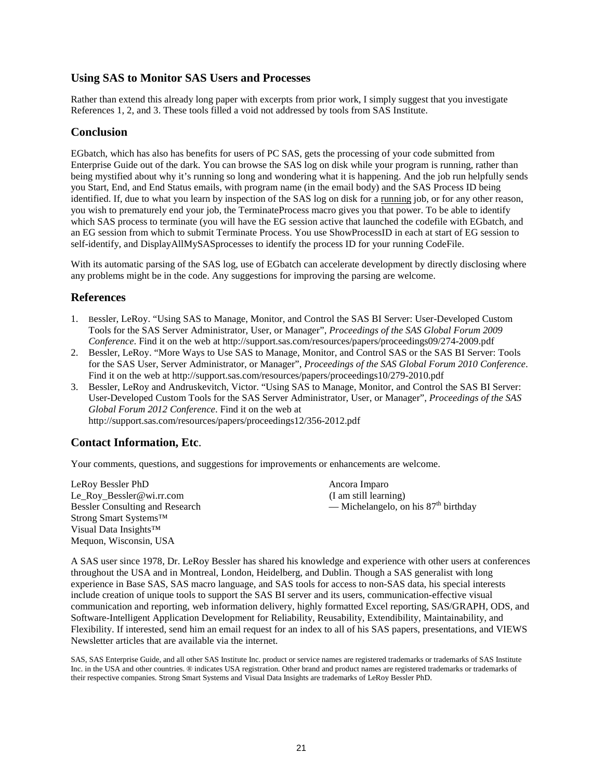## **Using SAS to Monitor SAS Users and Processes**

Rather than extend this already long paper with excerpts from prior work, I simply suggest that you investigate References 1, 2, and 3. These tools filled a void not addressed by tools from SAS Institute.

### **Conclusion**

EGbatch, which has also has benefits for users of PC SAS, gets the processing of your code submitted from Enterprise Guide out of the dark. You can browse the SAS log on disk while your program is running, rather than being mystified about why it's running so long and wondering what it is happening. And the job run helpfully sends you Start, End, and End Status emails, with program name (in the email body) and the SAS Process ID being identified. If, due to what you learn by inspection of the SAS log on disk for a running job, or for any other reason, you wish to prematurely end your job, the TerminateProcess macro gives you that power. To be able to identify which SAS process to terminate (you will have the EG session active that launched the codefile with EGbatch, and an EG session from which to submit Terminate Process. You use ShowProcessID in each at start of EG session to self-identify, and DisplayAllMySASprocesses to identify the process ID for your running CodeFile.

With its automatic parsing of the SAS log, use of EGbatch can accelerate development by directly disclosing where any problems might be in the code. Any suggestions for improving the parsing are welcome.

### **References**

- 1. Bessler, LeRoy. "Using SAS to Manage, Monitor, and Control the SAS BI Server: User-Developed Custom Tools for the SAS Server Administrator, User, or Manager", *Proceedings of the SAS Global Forum 2009 Conference*. Find it on the web at http://support.sas.com/resources/papers/proceedings09/274-2009.pdf
- 2. Bessler, LeRoy. "More Ways to Use SAS to Manage, Monitor, and Control SAS or the SAS BI Server: Tools for the SAS User, Server Administrator, or Manager", *Proceedings of the SAS Global Forum 2010 Conference*. Find it on the web at http://support.sas.com/resources/papers/proceedings10/279-2010.pdf
- 3. Bessler, LeRoy and Andruskevitch, Victor. "Using SAS to Manage, Monitor, and Control the SAS BI Server: User-Developed Custom Tools for the SAS Server Administrator, User, or Manager", *Proceedings of the SAS Global Forum 2012 Conference*. Find it on the web at http://support.sas.com/resources/papers/proceedings12/356-2012.pdf

## **Contact Information, Etc**.

Your comments, questions, and suggestions for improvements or enhancements are welcome.

LeRoy Bessler PhD Ancora Imparo Le Roy Bessler@wi.rr.com (I am still learning) Strong Smart Systems™ Visual Data Insights™ Mequon, Wisconsin, USA

Bessler Consulting and Research — Michelangelo, on his  $87<sup>th</sup>$  birthday

A SAS user since 1978, Dr. LeRoy Bessler has shared his knowledge and experience with other users at conferences throughout the USA and in Montreal, London, Heidelberg, and Dublin. Though a SAS generalist with long experience in Base SAS, SAS macro language, and SAS tools for access to non-SAS data, his special interests include creation of unique tools to support the SAS BI server and its users, communication-effective visual communication and reporting, web information delivery, highly formatted Excel reporting, SAS/GRAPH, ODS, and Software-Intelligent Application Development for Reliability, Reusability, Extendibility, Maintainability, and Flexibility. If interested, send him an email request for an index to all of his SAS papers, presentations, and VIEWS Newsletter articles that are available via the internet.

SAS, SAS Enterprise Guide, and all other SAS Institute Inc. product or service names are registered trademarks or trademarks of SAS Institute Inc. in the USA and other countries. ® indicates USA registration. Other brand and product names are registered trademarks or trademarks of their respective companies. Strong Smart Systems and Visual Data Insights are trademarks of LeRoy Bessler PhD.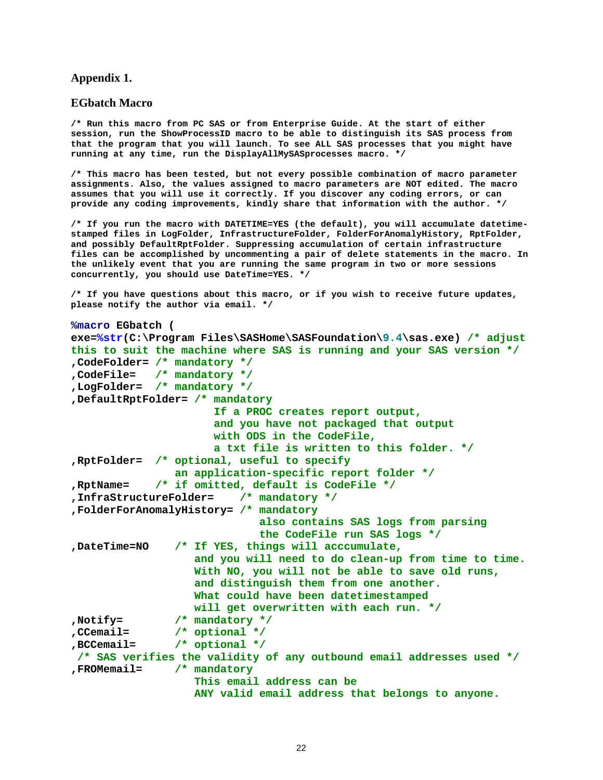### **Appendix 1.**

### **EGbatch Macro**

**/\* Run this macro from PC SAS or from Enterprise Guide. At the start of either session, run the ShowProcessID macro to be able to distinguish its SAS process from that the program that you will launch. To see ALL SAS processes that you might have running at any time, run the DisplayAllMySASprocesses macro. \*/**

**/\* This macro has been tested, but not every possible combination of macro parameter assignments. Also, the values assigned to macro parameters are NOT edited. The macro assumes that you will use it correctly. If you discover any coding errors, or can provide any coding improvements, kindly share that information with the author. \*/**

**/\* If you run the macro with DATETIME=YES (the default), you will accumulate datetimestamped files in LogFolder, InfrastructureFolder, FolderForAnomalyHistory, RptFolder, and possibly DefaultRptFolder. Suppressing accumulation of certain infrastructure files can be accomplished by uncommenting a pair of delete statements in the macro. In the unlikely event that you are running the same program in two or more sessions concurrently, you should use DateTime=YES. \*/**

**/\* If you have questions about this macro, or if you wish to receive future updates, please notify the author via email. \*/**

```
%macro EGbatch (
exe=%str(C:\Program Files\SASHome\SASFoundation\9.4\sas.exe) /* adjust 
this to suit the machine where SAS is running and your SAS version */
,CodeFolder= /* mandatory */
,CodeFile= /* mandatory */
,LogFolder= /* mandatory */
,DefaultRptFolder= /* mandatory
                        If a PROC creates report output,
                       and you have not packaged that output
                        with ODS in the CodeFile,
                        a txt file is written to this folder. */
,RptFolder= /* optional, useful to specify
                  an application-specific report folder */
,RptName= /* if omitted, default is CodeFile */
,InfraStructureFolder= /* mandatory */
,FolderForAnomalyHistory= /* mandatory 
                                also contains SAS logs from parsing 
                               the CodeFile run SAS logs */
,DateTime=NO /* If YES, things will acccumulate, 
                     and you will need to do clean-up from time to time.
                    With NO, you will not be able to save old runs, 
                    and distinguish them from one another.
                    What could have been datetimestamped
will get overwritten with each run. */<br>Notify= \frac{1}{2} \frac{1}{2} mandatory */
Notify= /* mandatory */<br>Reformatilary top CCemail= /* optional */
,CCemail= /* optional */
                 /* optional */
/* SAS verifies the validity of any outbound email addresses used */
,FROMemail= /* mandatory 
                     This email address can be
                    ANY valid email address that belongs to anyone.
```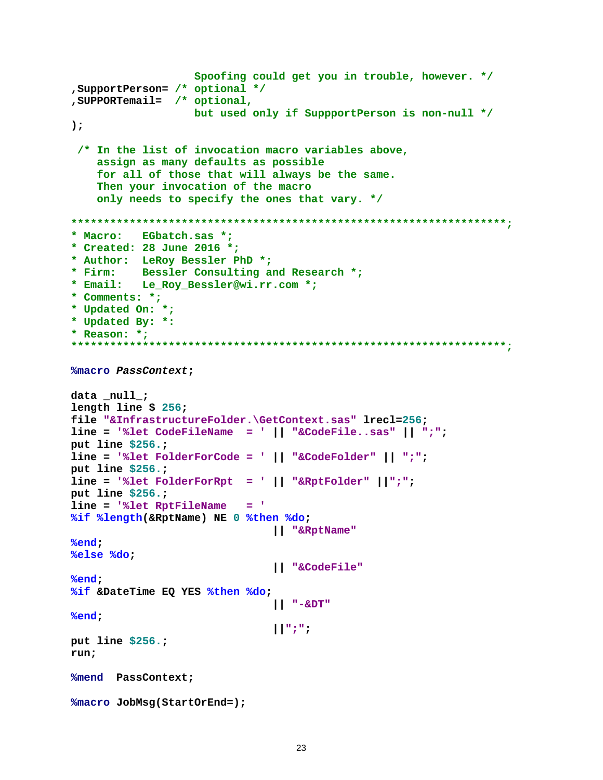```
 Spoofing could get you in trouble, however. */
,SupportPerson= /* optional */
,SUPPORTemail= /* optional, 
                    but used only if SuppportPerson is non-null */
);
 /* In the list of invocation macro variables above,
     assign as many defaults as possible
     for all of those that will always be the same.
     Then your invocation of the macro
     only needs to specify the ones that vary. */
*******************************************************************;
* Macro: EGbatch.sas *;
* Created: 28 June 2016 *;
* Author: LeRoy Bessler PhD *;
* Firm: Bessler Consulting and Research *;
* Email: Le_Roy_Bessler@wi.rr.com *;
* Comments: *;
* Updated On: *;
* Updated By: *:
* Reason: *;
*******************************************************************;
%macro PassContext;
data _null_;
length line $ 256;
file "&InfrastructureFolder.\GetContext.sas" lrecl=256;
line = '%let CodeFileName = ' || "&CodeFile..sas" || ";";
put line $256.;
line = '%let FolderForCode = ' || "&CodeFolder" || ";";
put line $256.;
line = '%let FolderForRpt = ' || "&RptFolder" ||";";
put line $256.;
line = '%let RptFileName = '
%if %length(&RptName) NE 0 %then %do; 
                                || "&RptName"
%end;
%else %do;
                                || "&CodeFile"
%end; 
%if &DateTime EQ YES %then %do;
                                || "-&DT"
%end;
                                ||";";
put line $256.;
run;
%mend PassContext;
%macro JobMsg(StartOrEnd=);
```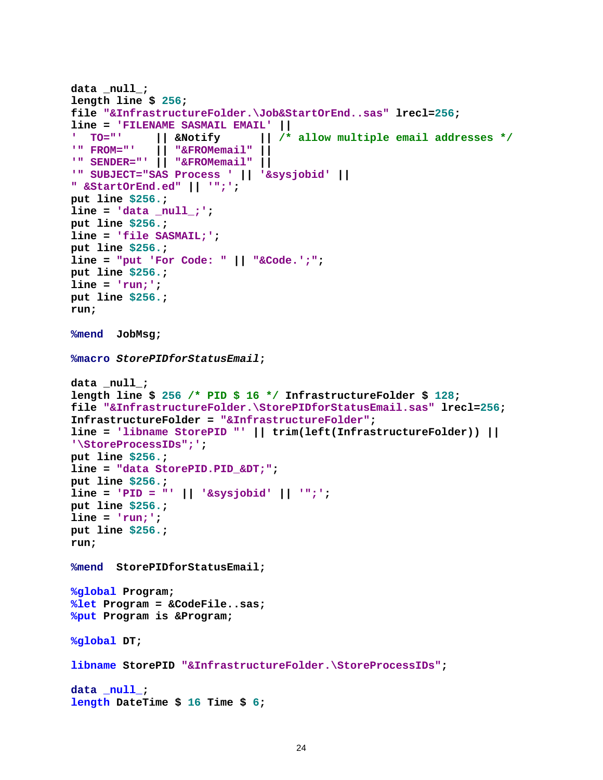```
data _null_;
length line $ 256;
file "&InfrastructureFolder.\Job&StartOrEnd..sas" lrecl=256;
line = 'FILENAME SASMAIL EMAIL' ||
' TO="' || &Notify || /* allow multiple email addresses */
             '" FROM="' || "&FROMemail" ||
'" SENDER="' || "&FROMemail" ||
'" SUBJECT="SAS Process ' || '&sysjobid' ||
" &StartOrEnd.ed" || '";';
put line $256.;
line = 'data _null_;';
put line $256.;
line = 'file SASMAIL;';
put line $256.;
line = "put 'For Code: " || "&Code.';";
put line $256.;
line = 'run;';
put line $256.;
run;
%mend JobMsg;
%macro StorePIDforStatusEmail;
data _null_;
length line $ 256 /* PID $ 16 */ InfrastructureFolder $ 128;
file "&InfrastructureFolder.\StorePIDforStatusEmail.sas" lrecl=256;
InfrastructureFolder = "&InfrastructureFolder";
line = 'libname StorePID "' || trim(left(InfrastructureFolder)) || 
'\StoreProcessIDs";';
put line $256.;
line = "data StorePID.PID_&DT;";
put line $256.;
line = 'PID = "' || '&sysjobid' || '";';
put line $256.;
line = 'run;';
put line $256.;
run;
%mend StorePIDforStatusEmail;
%global Program;
%let Program = &CodeFile..sas;
%put Program is &Program;
%global DT;
libname StorePID "&InfrastructureFolder.\StoreProcessIDs";
data _null_;
length DateTime $ 16 Time $ 6;
```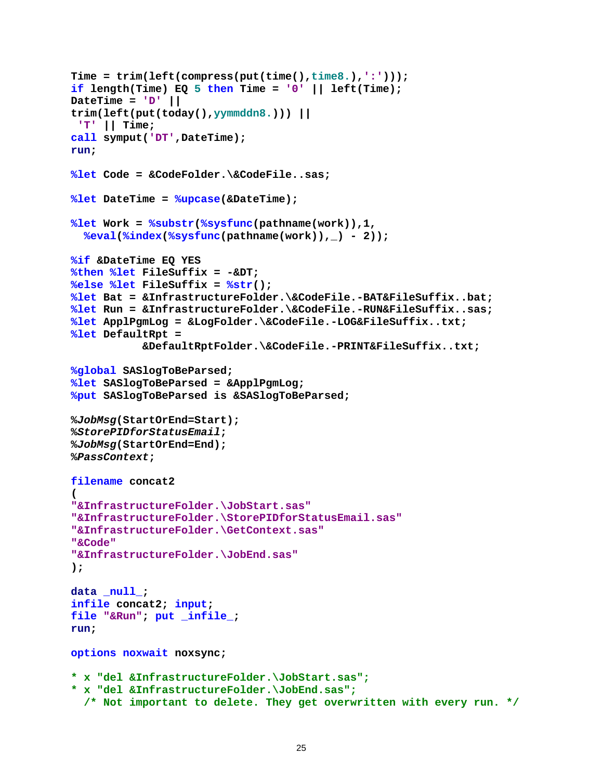```
Time = trim(left(compress(put(time(),time8.),':')));
\textbf{if length}(\texttt{Time}) EQ 5 then Time = '0' || left(Time);
DateTime = 'D' || 
trim(left(put(today(),yymmddn8.))) ||
 'T' || Time;
call symput('DT',DateTime);
run;
%let Code = &CodeFolder.\&CodeFile..sas;
%let DateTime = %upcase(&DateTime);
%let Work = %substr(%sysfunc(pathname(work)),1,
   %eval(%index(%sysfunc(pathname(work)),_) - 2));
%if &DateTime EQ YES 
%then %let FileSuffix = -&DT;
%else %let FileSuffix = %str();
%let Bat = &InfrastructureFolder.\&CodeFile.-BAT&FileSuffix..bat; 
%let Run = &InfrastructureFolder.\&CodeFile.-RUN&FileSuffix..sas; 
%let ApplPgmLog = &LogFolder.\&CodeFile.-LOG&FileSuffix..txt;
%let DefaultRpt =
            &DefaultRptFolder.\&CodeFile.-PRINT&FileSuffix..txt;
%global SASlogToBeParsed;
%let SASlogToBeParsed = &ApplPgmLog;
%put SASlogToBeParsed is &SASlogToBeParsed;
%JobMsg(StartOrEnd=Start);
%StorePIDforStatusEmail;
%JobMsg(StartOrEnd=End);
%PassContext;
filename concat2
(
"&InfrastructureFolder.\JobStart.sas"
"&InfrastructureFolder.\StorePIDforStatusEmail.sas"
"&InfrastructureFolder.\GetContext.sas"
"&Code"
"&InfrastructureFolder.\JobEnd.sas"
); 
data _null_; 
infile concat2; input; 
file "&Run"; put _infile_; 
run;
options noxwait noxsync;
* x "del &InfrastructureFolder.\JobStart.sas";
* x "del &InfrastructureFolder.\JobEnd.sas"; 
   /* Not important to delete. They get overwritten with every run. */
```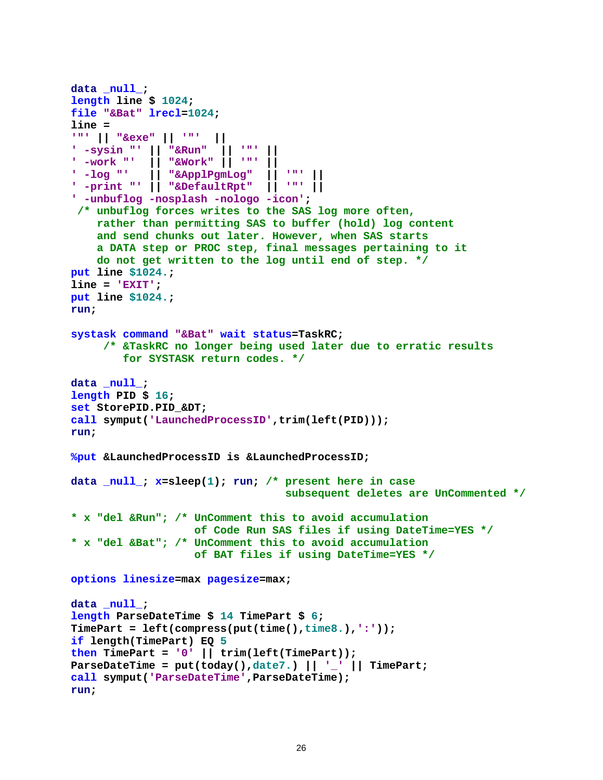```
data _null_;
length line $ 1024;
file "&Bat" lrecl=1024;
line = 
'"' || "&exe" || '"' ||
' -sysin "' || "&Run" || '"' ||
| -work "' || "&Work"<br>| -log "' || "&ApplPq
            ' -log "' || "&ApplPgmLog" || '"' ||
' -print "' || "&DefaultRpt" || '"' ||
' -unbuflog -nosplash -nologo -icon';
 /* unbuflog forces writes to the SAS log more often,
     rather than permitting SAS to buffer (hold) log content
     and send chunks out later. However, when SAS starts
     a DATA step or PROC step, final messages pertaining to it
     do not get written to the log until end of step. */
put line $1024.;
line = 'EXIT';
put line $1024.;
run;
systask command "&Bat" wait status=TaskRC;
      /* &TaskRC no longer being used later due to erratic results
         for SYSTASK return codes. */
data _null_;
length PID $ 16;
set StorePID.PID_&DT;
call symput('LaunchedProcessID',trim(left(PID)));
run; 
%put &LaunchedProcessID is &LaunchedProcessID;
data _null_; x=sleep(1); run; /* present here in case
                                   subsequent deletes are UnCommented */
* x "del &Run"; /* UnComment this to avoid accumulation 
                    of Code Run SAS files if using DateTime=YES */
* x "del &Bat"; /* UnComment this to avoid accumulation 
                    of BAT files if using DateTime=YES */
options linesize=max pagesize=max;
data _null_;
length ParseDateTime $ 14 TimePart $ 6;
TimePart = left(compress(put(time(),time8.),':'));
if length(TimePart) EQ 5
then TimePart = '0' || trim(left(TimePart)); 
ParseDateTime = put(today(),date7.) || '_' || TimePart;
call symput('ParseDateTime',ParseDateTime);
run;
```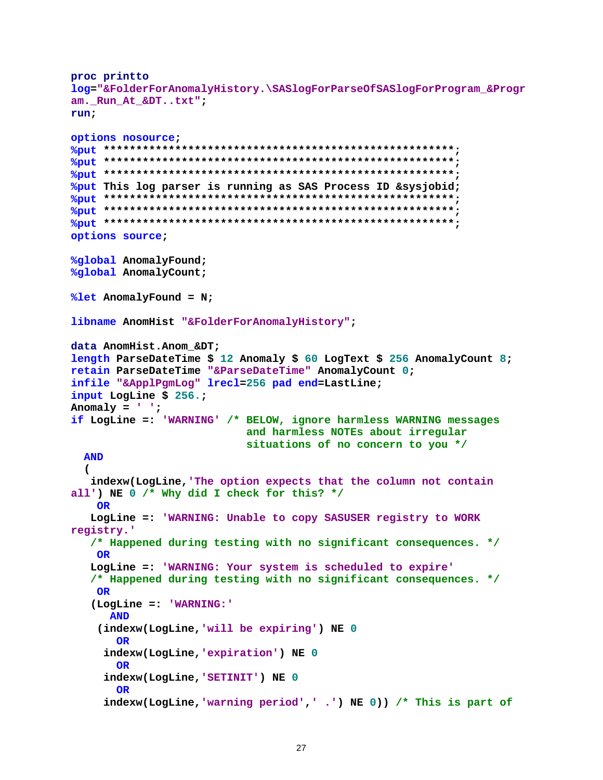```
proc printto
log="&FolderForAnomalyHistory.\SASlogForParseOfSASlogForProgram_&Progr
am._Run_At_&DT..txt";
run;
options nosource;
%put ******************************************************;
%put ******************************************************;
%put ******************************************************;
%put This log parser is running as SAS Process ID &sysjobid;
%put ******************************************************;
%put ******************************************************;
%put ******************************************************;
options source; 
%global AnomalyFound;
%global AnomalyCount;
%let AnomalyFound = N;
libname AnomHist "&FolderForAnomalyHistory";
data AnomHist.Anom_&DT;
length ParseDateTime $ 12 Anomaly $ 60 LogText $ 256 AnomalyCount 8;
retain ParseDateTime "&ParseDateTime" AnomalyCount 0;
infile "&ApplPgmLog" lrecl=256 pad end=LastLine;
input LogLine $ 256.;
Anomaly = ' ';
if LogLine =: 'WARNING' /* BELOW, ignore harmless WARNING messages
                            and harmless NOTEs about irregular
                           situations of no concern to you */
  AND
 (
    indexw(LogLine,'The option expects that the column not contain 
all') NE 0 /* Why did I check for this? */
    OR
    LogLine =: 'WARNING: Unable to copy SASUSER registry to WORK 
registry.'
    /* Happened during testing with no significant consequences. */
     OR
    LogLine =: 'WARNING: Your system is scheduled to expire'
    /* Happened during testing with no significant consequences. */
    OR
    (LogLine =: 'WARNING:'
       AND
     (indexw(LogLine,'will be expiring') NE 0
        OR 
      indexw(LogLine,'expiration') NE 0
        OR 
      indexw(LogLine,'SETINIT') NE 0
        OR
      indexw(LogLine,'warning period',' .') NE 0)) /* This is part of
```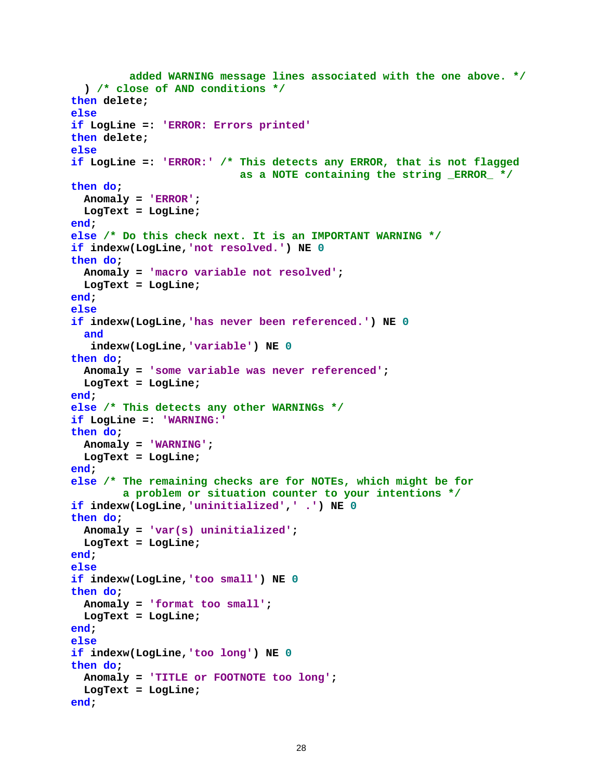```
 added WARNING message lines associated with the one above. */
   ) /* close of AND conditions */
then delete;
else
if LogLine =: 'ERROR: Errors printed'
then delete;
else
if LogLine =: 'ERROR:' /* This detects any ERROR, that is not flagged
                           as a NOTE containing the string _ERROR_ */
then do; 
  Anomaly = 'ERROR';
  LogText = LogLine;
end;
else /* Do this check next. It is an IMPORTANT WARNING */
if indexw(LogLine,'not resolved.') NE 0
then do;
  Anomaly = 'macro variable not resolved';
  LogText = LogLine;
end;
else
if indexw(LogLine,'has never been referenced.') NE 0
  and
    indexw(LogLine,'variable') NE 0
then do;
  Anomaly = 'some variable was never referenced';
  LogText = LogLine;
end;
else /* This detects any other WARNINGs */
if LogLine =: 'WARNING:'
then do;
  Anomaly = 'WARNING';
  LogText = LogLine;
end;
else /* The remaining checks are for NOTEs, which might be for
         a problem or situation counter to your intentions */
if indexw(LogLine,'uninitialized',' .') NE 0
then do;
  Anomaly = 'var(s) uninitialized';
  LogText = LogLine;
end;
else
if indexw(LogLine,'too small') NE 0
then do;
  Anomaly = 'format too small';
  LogText = LogLine;
end;
else
if indexw(LogLine,'too long') NE 0
then do;
  Anomaly = 'TITLE or FOOTNOTE too long';
  LogText = LogLine;
end;
```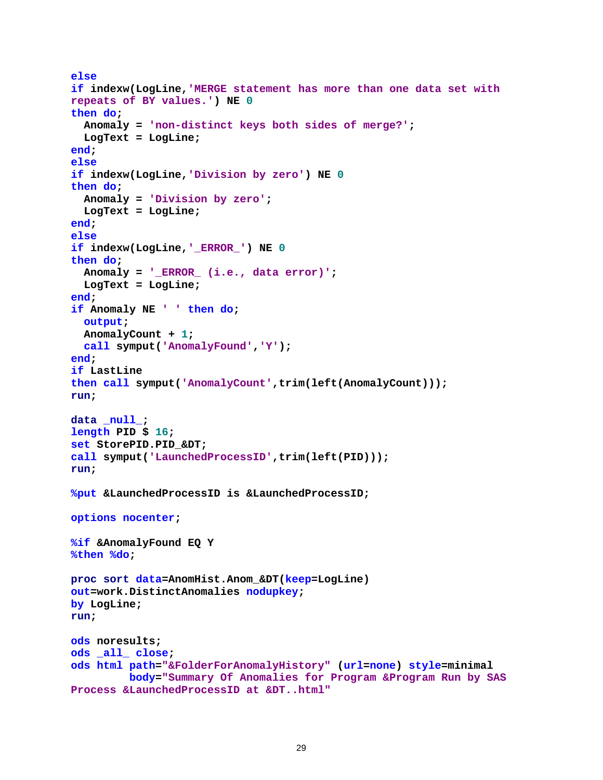```
else
if indexw(LogLine,'MERGE statement has more than one data set with 
repeats of BY values.') NE 0
then do;
   Anomaly = 'non-distinct keys both sides of merge?';
   LogText = LogLine;
end;
else
if indexw(LogLine,'Division by zero') NE 0
then do;
  Anomaly = 'Division by zero';
   LogText = LogLine;
end;
else
if indexw(LogLine,'_ERROR_') NE 0
then do;
   Anomaly = '_ERROR_ (i.e., data error)';
   LogText = LogLine;
end;
if Anomaly NE ' ' then do;
   output;
   AnomalyCount + 1;
   call symput('AnomalyFound','Y');
end;
if LastLine
then call symput('AnomalyCount',trim(left(AnomalyCount))); 
run;
data _null_;
length PID $ 16;
set StorePID.PID_&DT;
call symput('LaunchedProcessID',trim(left(PID)));
run;
%put &LaunchedProcessID is &LaunchedProcessID;
options nocenter;
%if &AnomalyFound EQ Y 
%then %do;
proc sort data=AnomHist.Anom_&DT(keep=LogLine) 
out=work.DistinctAnomalies nodupkey;
by LogLine;
run;
ods noresults;
ods _all_ close;
ods html path="&FolderForAnomalyHistory" (url=none) style=minimal
          body="Summary Of Anomalies for Program &Program Run by SAS 
Process &LaunchedProcessID at &DT..html"
```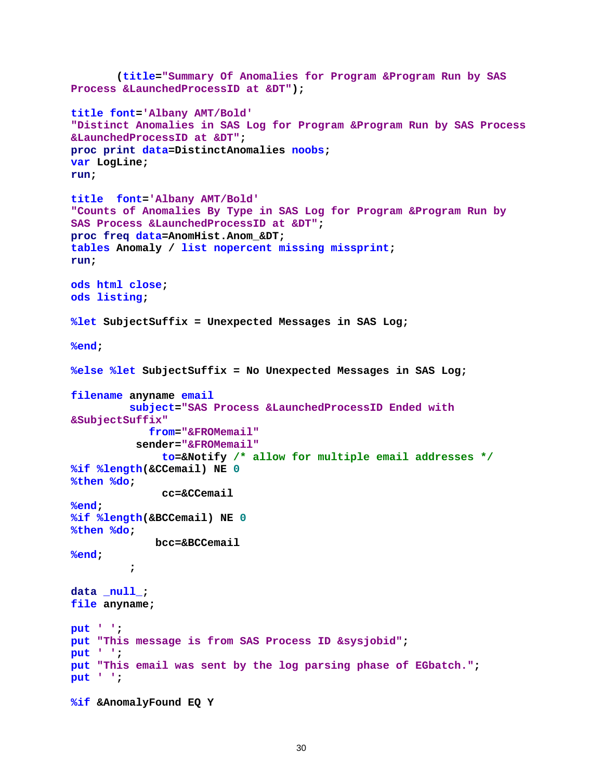```
 (title="Summary Of Anomalies for Program &Program Run by SAS 
Process &LaunchedProcessID at &DT");
title font='Albany AMT/Bold'
"Distinct Anomalies in SAS Log for Program &Program Run by SAS Process 
&LaunchedProcessID at &DT";
proc print data=DistinctAnomalies noobs;
var LogLine;
run;
title font='Albany AMT/Bold'
"Counts of Anomalies By Type in SAS Log for Program &Program Run by 
SAS Process &LaunchedProcessID at &DT";
proc freq data=AnomHist.Anom_&DT;
tables Anomaly / list nopercent missing missprint;
run;
ods html close;
ods listing;
%let SubjectSuffix = Unexpected Messages in SAS Log;
%end;
%else %let SubjectSuffix = No Unexpected Messages in SAS Log;
filename anyname email
          subject="SAS Process &LaunchedProcessID Ended with 
&SubjectSuffix"
             from="&FROMemail"
           sender="&FROMemail"
               to=&Notify /* allow for multiple email addresses */
%if %length(&CCemail) NE 0
%then %do;
               cc=&CCemail
%end;
%if %length(&BCCemail) NE 0
%then %do;
              bcc=&BCCemail
%end;
\mathbf{r} \mathbf{r} \mathbf{r}data _null_;
file anyname;
put ' ';
put "This message is from SAS Process ID &sysjobid"; 
put ' ';
put "This email was sent by the log parsing phase of EGbatch.";
put ' ';
%if &AnomalyFound EQ Y
```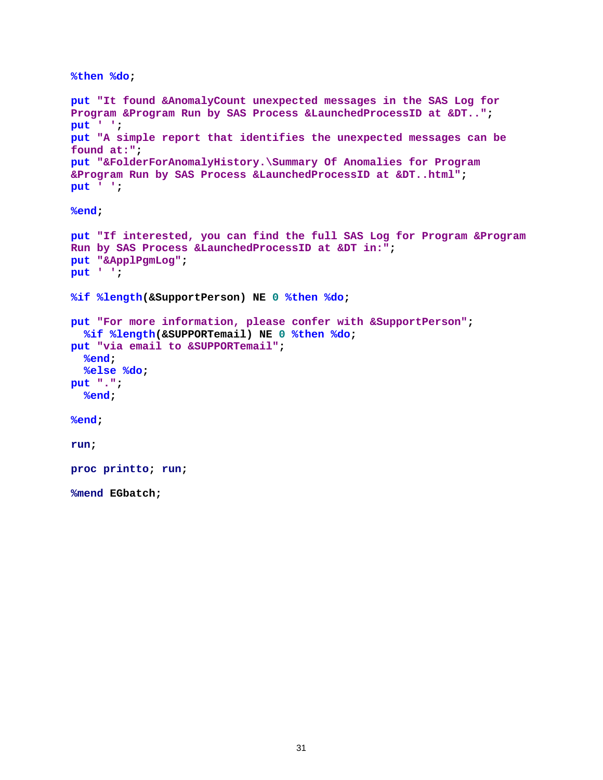```
%then %do;
put "It found &AnomalyCount unexpected messages in the SAS Log for 
Program &Program Run by SAS Process &LaunchedProcessID at &DT..";
put ' ';
put "A simple report that identifies the unexpected messages can be 
found at:";
put "&FolderForAnomalyHistory.\Summary Of Anomalies for Program 
&Program Run by SAS Process &LaunchedProcessID at &DT..html";
put ' ';
%end;
put "If interested, you can find the full SAS Log for Program &Program 
Run by SAS Process &LaunchedProcessID at &DT in:";
put "&ApplPgmLog";
put ' ';
%if %length(&SupportPerson) NE 0 %then %do;
put "For more information, please confer with &SupportPerson";
 %if %length(&SUPPORTemail) NE 0 %then %do;
put "via email to &SUPPORTemail";
  %end;
  %else %do;
put ".";
  %end;
%end;
run;
proc printto; run;
%mend EGbatch;
```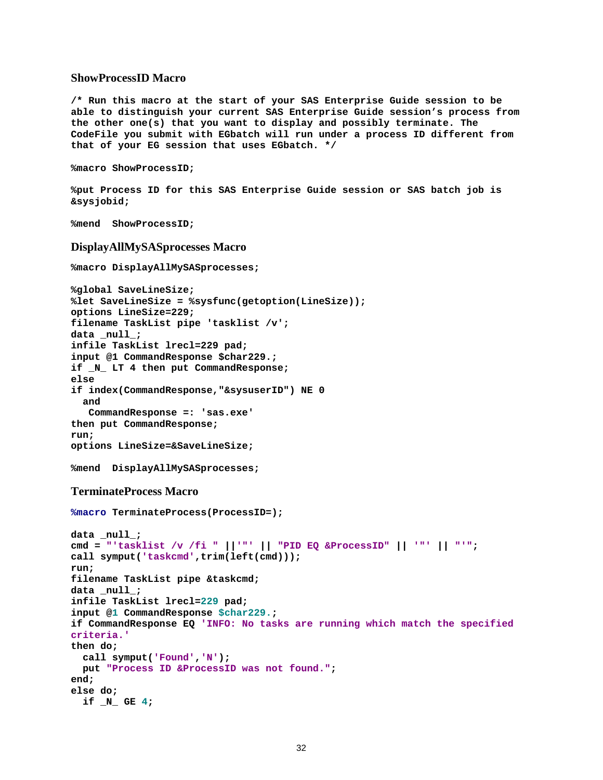### **ShowProcessID Macro**

**/\* Run this macro at the start of your SAS Enterprise Guide session to be able to distinguish your current SAS Enterprise Guide session's process from the other one(s) that you want to display and possibly terminate. The CodeFile you submit with EGbatch will run under a process ID different from that of your EG session that uses EGbatch. \*/**

```
%macro ShowProcessID;
```

```
%put Process ID for this SAS Enterprise Guide session or SAS batch job is 
&sysjobid;
```

```
%mend ShowProcessID;
```
#### **DisplayAllMySASprocesses Macro**

```
%macro DisplayAllMySASprocesses;
%global SaveLineSize; 
%let SaveLineSize = %sysfunc(getoption(LineSize));
options LineSize=229;
filename TaskList pipe 'tasklist /v';
data _null_;
infile TaskList lrecl=229 pad;
input @1 CommandResponse $char229.;
if _N_ LT 4 then put CommandResponse;
else
if index(CommandResponse,"&sysuserID") NE 0
  and
   CommandResponse =: 'sas.exe'
then put CommandResponse; 
run;
options LineSize=&SaveLineSize;
%mend DisplayAllMySASprocesses;
TerminateProcess Macro
%macro TerminateProcess(ProcessID=);
data _null_;
cmd = "'tasklist /v /fi " ||'"' || "PID EQ &ProcessID" || '"' || "'";
call symput('taskcmd',trim(left(cmd)));
run;
filename TaskList pipe &taskcmd;
```

```
data _null_;
infile TaskList lrecl=229 pad;
```

```
input @1 CommandResponse $char229.;
```

```
if CommandResponse EQ 'INFO: No tasks are running which match the specified 
criteria.'
then do;
```

```
 call symput('Found','N');
  put "Process ID &ProcessID was not found.";
end;
else do;
  if _N_ GE 4;
```